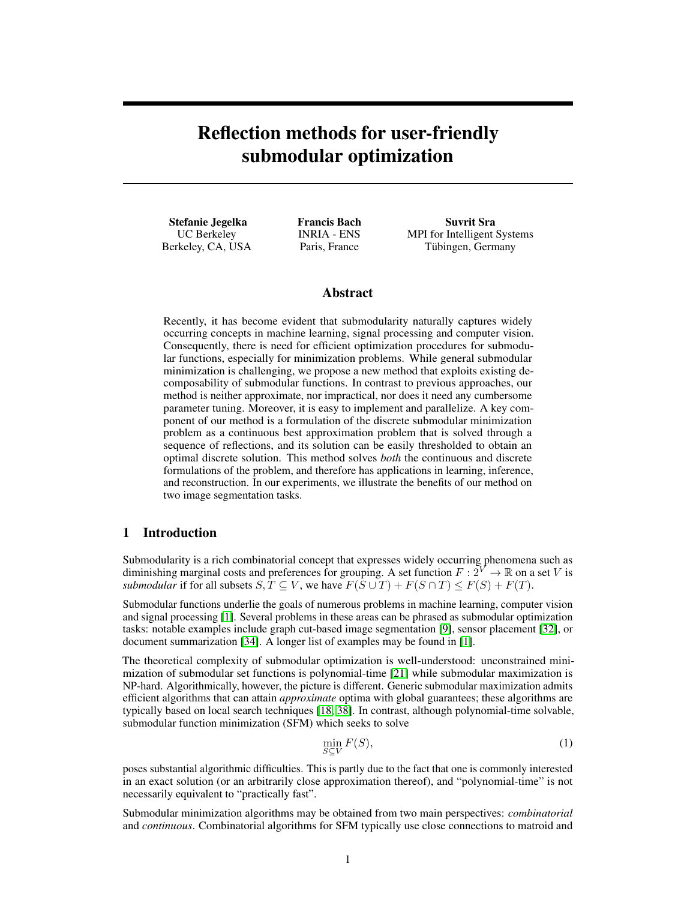# Reflection methods for user-friendly submodular optimization

Stefanie Jegelka UC Berkeley Berkeley, CA, USA Francis Bach INRIA - ENS Paris, France

Suvrit Sra MPI for Intelligent Systems Tübingen, Germany

# Abstract

Recently, it has become evident that submodularity naturally captures widely occurring concepts in machine learning, signal processing and computer vision. Consequently, there is need for efficient optimization procedures for submodular functions, especially for minimization problems. While general submodular minimization is challenging, we propose a new method that exploits existing decomposability of submodular functions. In contrast to previous approaches, our method is neither approximate, nor impractical, nor does it need any cumbersome parameter tuning. Moreover, it is easy to implement and parallelize. A key component of our method is a formulation of the discrete submodular minimization problem as a continuous best approximation problem that is solved through a sequence of reflections, and its solution can be easily thresholded to obtain an optimal discrete solution. This method solves *both* the continuous and discrete formulations of the problem, and therefore has applications in learning, inference, and reconstruction. In our experiments, we illustrate the benefits of our method on two image segmentation tasks.

# 1 Introduction

Submodularity is a rich combinatorial concept that expresses widely occurring phenomena such as diminishing marginal costs and preferences for grouping. A set function  $F: 2^V \to \mathbb{R}$  on a set V is *submodular* if for all subsets  $S, T \subseteq V$ , we have  $F(S \cup T) + F(S \cap T) \leq F(S) + F(T)$ .

Submodular functions underlie the goals of numerous problems in machine learning, computer vision and signal processing [\[1\]](#page-9-0). Several problems in these areas can be phrased as submodular optimization tasks: notable examples include graph cut-based image segmentation [\[9\]](#page-9-1), sensor placement [\[32\]](#page-10-0), or document summarization [\[34\]](#page-10-1). A longer list of examples may be found in [\[1\]](#page-9-0).

The theoretical complexity of submodular optimization is well-understood: unconstrained minimization of submodular set functions is polynomial-time [\[21\]](#page-9-2) while submodular maximization is NP-hard. Algorithmically, however, the picture is different. Generic submodular maximization admits efficient algorithms that can attain *approximate* optima with global guarantees; these algorithms are typically based on local search techniques [\[18,](#page-9-3) [38\]](#page-10-2). In contrast, although polynomial-time solvable, submodular function minimization (SFM) which seeks to solve

<span id="page-0-0"></span>
$$
\min_{S \subseteq V} F(S),\tag{1}
$$

poses substantial algorithmic difficulties. This is partly due to the fact that one is commonly interested in an exact solution (or an arbitrarily close approximation thereof), and "polynomial-time" is not necessarily equivalent to "practically fast".

Submodular minimization algorithms may be obtained from two main perspectives: *combinatorial* and *continuous*. Combinatorial algorithms for SFM typically use close connections to matroid and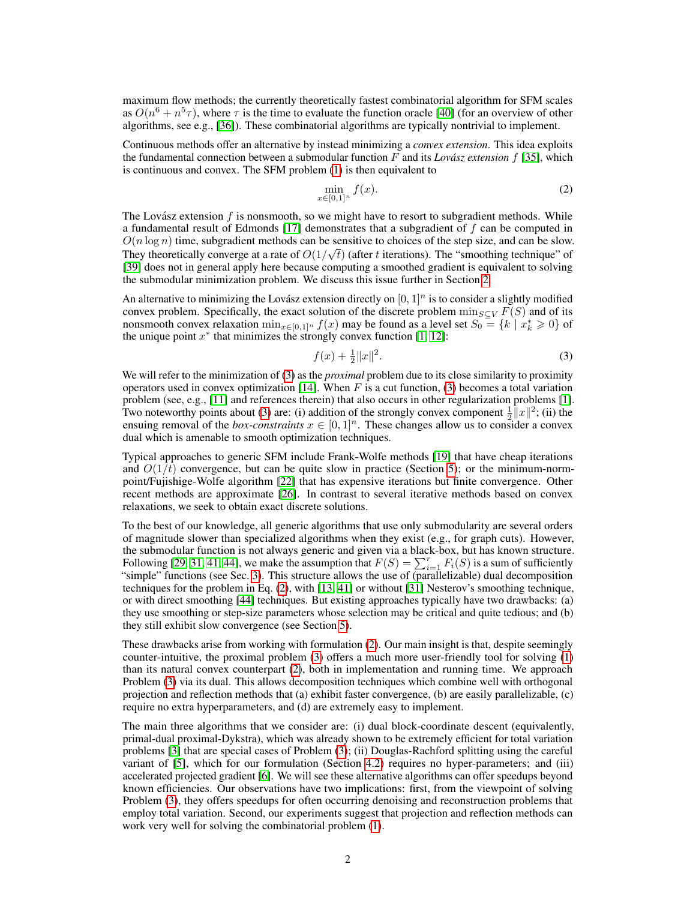maximum flow methods; the currently theoretically fastest combinatorial algorithm for SFM scales as  $O(n^6 + n^5 \tau)$ , where  $\tau$  is the time to evaluate the function oracle [\[40\]](#page-10-3) (for an overview of other algorithms, see e.g., [\[36\]](#page-10-4)). These combinatorial algorithms are typically nontrivial to implement.

Continuous methods offer an alternative by instead minimizing a *convex extension*. This idea exploits the fundamental connection between a submodular function  $F$  and its *Lovász extension*  $f$  [\[35\]](#page-10-5), which is continuous and convex. The SFM problem [\(1\)](#page-0-0) is then equivalent to

<span id="page-1-1"></span>
$$
\min_{x \in [0,1]^n} f(x). \tag{2}
$$

The Lovász extension  $f$  is nonsmooth, so we might have to resort to subgradient methods. While a fundamental result of Edmonds [\[17\]](#page-9-4) demonstrates that a subgradient of  $f$  can be computed in  $O(n \log n)$  time, subgradient methods can be sensitive to choices of the step size, and can be slow. They theoretically converge at a rate of  $O(1/\sqrt{t})$  (after t iterations). The "smoothing technique" of [\[39\]](#page-10-6) does not in general apply here because computing a smoothed gradient is equivalent to solving the submodular minimization problem. We discuss this issue further in Section [2.](#page-2-0)

An alternative to minimizing the Lovász extension directly on  $[0, 1]^n$  is to consider a slightly modified convex problem. Specifically, the exact solution of the discrete problem  $\min_{S\subset V} F(S)$  and of its nonsmooth convex relaxation  $\min_{x \in [0,1]^n} f(x)$  may be found as a level set  $S_0 = \{k \mid x_k^* \ge 0\}$  of the unique point  $x^*$  that minimizes the strongly convex function [\[1,](#page-9-0) [12\]](#page-9-5):

<span id="page-1-0"></span>
$$
f(x) + \frac{1}{2} \|x\|^2. \tag{3}
$$

We will refer to the minimization of [\(3\)](#page-1-0) as the *proximal* problem due to its close similarity to proximity operators used in convex optimization [\[14\]](#page-9-6). When  $F$  is a cut function, [\(3\)](#page-1-0) becomes a total variation problem (see, e.g., [\[11\]](#page-9-7) and references therein) that also occurs in other regularization problems [\[1\]](#page-9-0). Two noteworthy points about [\(3\)](#page-1-0) are: (i) addition of the strongly convex component  $\frac{1}{2}||x||^2$ ; (ii) the ensuing removal of the *box-constraints*  $x \in [0, 1]^n$ . These changes allow us to consider a convex dual which is amenable to smooth optimization techniques.

Typical approaches to generic SFM include Frank-Wolfe methods [\[19\]](#page-9-8) that have cheap iterations and  $O(1/t)$  convergence, but can be quite slow in practice (Section [5\)](#page-6-0); or the minimum-normpoint/Fujishige-Wolfe algorithm [\[22\]](#page-9-9) that has expensive iterations but finite convergence. Other recent methods are approximate [\[26\]](#page-10-7). In contrast to several iterative methods based on convex relaxations, we seek to obtain exact discrete solutions.

To the best of our knowledge, all generic algorithms that use only submodularity are several orders of magnitude slower than specialized algorithms when they exist (e.g., for graph cuts). However, the submodular function is not always generic and given via a black-box, but has known structure. Following [\[29,](#page-10-8) [31,](#page-10-9) [41,](#page-10-10) [44\]](#page-10-11), we make the assumption that  $F(S) = \sum_{i=1}^{r} F_i(S)$  is a sum of sufficiently "simple" functions (see Sec. [3\)](#page-3-0). This structure allows the use of (parallelizable) dual decomposition techniques for the problem in Eq. [\(2\)](#page-1-1), with [\[13,](#page-9-10) [41\]](#page-10-10) or without [\[31\]](#page-10-9) Nesterov's smoothing technique, or with direct smoothing [\[44\]](#page-10-11) techniques. But existing approaches typically have two drawbacks: (a) they use smoothing or step-size parameters whose selection may be critical and quite tedious; and (b) they still exhibit slow convergence (see Section [5\)](#page-6-0).

These drawbacks arise from working with formulation [\(2\)](#page-1-1). Our main insight is that, despite seemingly counter-intuitive, the proximal problem [\(3\)](#page-1-0) offers a much more user-friendly tool for solving [\(1\)](#page-0-0) than its natural convex counterpart [\(2\)](#page-1-1), both in implementation and running time. We approach Problem [\(3\)](#page-1-0) via its dual. This allows decomposition techniques which combine well with orthogonal projection and reflection methods that (a) exhibit faster convergence, (b) are easily parallelizable, (c) require no extra hyperparameters, and (d) are extremely easy to implement.

The main three algorithms that we consider are: (i) dual block-coordinate descent (equivalently, primal-dual proximal-Dykstra), which was already shown to be extremely efficient for total variation problems [\[3\]](#page-9-11) that are special cases of Problem [\(3\)](#page-1-0); (ii) Douglas-Rachford splitting using the careful variant of [\[5\]](#page-9-12), which for our formulation (Section [4.2\)](#page-5-0) requires no hyper-parameters; and (iii) accelerated projected gradient [\[6\]](#page-9-13). We will see these alternative algorithms can offer speedups beyond known efficiencies. Our observations have two implications: first, from the viewpoint of solving Problem [\(3\)](#page-1-0), they offers speedups for often occurring denoising and reconstruction problems that employ total variation. Second, our experiments suggest that projection and reflection methods can work very well for solving the combinatorial problem [\(1\)](#page-0-0).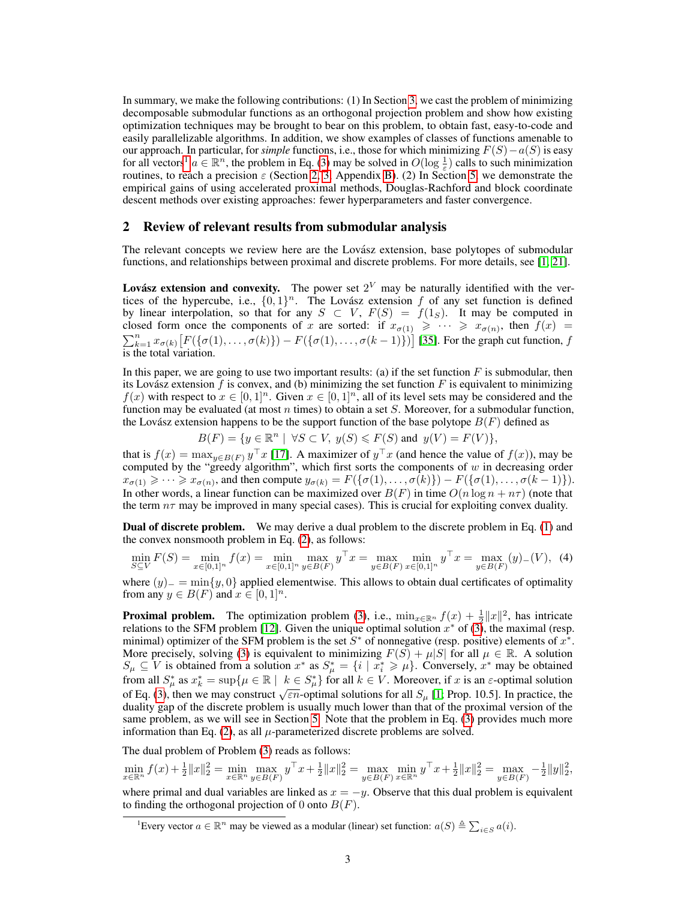In summary, we make the following contributions: (1) In Section [3,](#page-3-0) we cast the problem of minimizing decomposable submodular functions as an orthogonal projection problem and show how existing optimization techniques may be brought to bear on this problem, to obtain fast, easy-to-code and easily parallelizable algorithms. In addition, we show examples of classes of functions amenable to our approach. In particular, for *simple* functions, i.e., those for which minimizing F(S)−a(S) is easy for all vectors<sup>[1](#page-2-1)</sup>  $a \in \mathbb{R}^n$ , the problem in Eq. [\(3\)](#page-1-0) may be solved in  $O(\log \frac{1}{\varepsilon})$  calls to such minimization routines, to reach a precision  $\varepsilon$  (Section [2,](#page-2-0) [3,](#page-3-0) Appendix [B\)](#page-11-0). (2) In Section [5,](#page-6-0) we demonstrate the empirical gains of using accelerated proximal methods, Douglas-Rachford and block coordinate descent methods over existing approaches: fewer hyperparameters and faster convergence.

## <span id="page-2-0"></span>2 Review of relevant results from submodular analysis

The relevant concepts we review here are the Lovász extension, base polytopes of submodular functions, and relationships between proximal and discrete problems. For more details, see [\[1,](#page-9-0) [21\]](#page-9-2).

Lovász extension and convexity. The power set  $2^V$  may be naturally identified with the vertices of the hypercube, i.e.,  $\{0,1\}^n$ . The Lovász extension f of any set function is defined by linear interpolation, so that for any  $S \subset V$ ,  $F(S) = f(1_S)$ . It may be computed in closed form once the components of x are sorted: if  $x_{\sigma(1)} \geq \cdots \geq x_{\sigma(n)}$ , then  $f(x) =$  $\sum_{k=1}^{n} x_{\sigma(k)} [F(\{\sigma(1), \ldots, \sigma(k)\}) - F(\{\sigma(1), \ldots, \sigma(k-1)\})]$  [\[35\]](#page-10-5). For the graph cut function, f is the total variation.

In this paper, we are going to use two important results: (a) if the set function  $F$  is submodular, then its Lovász extension  $f$  is convex, and (b) minimizing the set function  $F$  is equivalent to minimizing  $f(x)$  with respect to  $x \in [0,1]^n$ . Given  $x \in [0,1]^n$ , all of its level sets may be considered and the function may be evaluated (at most n times) to obtain a set  $S$ . Moreover, for a submodular function, the Lovász extension happens to be the support function of the base polytope  $B(F)$  defined as

$$
B(F) = \{ y \in \mathbb{R}^n \mid \forall S \subset V, \ y(S) \le F(S) \text{ and } y(V) = F(V) \},
$$

that is  $f(x) = \max_{y \in B(F)} y^\top x$  [\[17\]](#page-9-4). A maximizer of  $y^\top x$  (and hence the value of  $f(x)$ ), may be computed by the "greedy algorithm", which first sorts the components of  $w$  in decreasing order  $x_{\sigma(1)} \geqslant \cdots \geqslant x_{\sigma(n)}$ , and then compute  $y_{\sigma(k)} = F(\{\sigma(1), \ldots, \sigma(k)\}) - F(\{\sigma(1), \ldots, \sigma(k-1)\}).$ In other words, a linear function can be maximized over  $B(F)$  in time  $O(n \log n + n\tau)$  (note that the term  $n\tau$  may be improved in many special cases). This is crucial for exploiting convex duality.

Dual of discrete problem. We may derive a dual problem to the discrete problem in Eq. [\(1\)](#page-0-0) and the convex nonsmooth problem in Eq. [\(2\)](#page-1-1), as follows:

$$
\min_{S \subseteq V} F(S) = \min_{x \in [0,1]^n} f(x) = \min_{x \in [0,1]^n} \max_{y \in B(F)} y^\top x = \max_{y \in B(F)} \min_{x \in [0,1]^n} y^\top x = \max_{y \in B(F)} (y)_{-}(V), \tag{4}
$$

where  $(y)$  =  $\min\{y, 0\}$  applied elementwise. This allows to obtain dual certificates of optimality from any  $y \in B(F)$  and  $x \in [0,1]^n$ .

**Proximal problem.** The optimization problem [\(3\)](#page-1-0), i.e.,  $\min_{x \in \mathbb{R}^n} f(x) + \frac{1}{2} ||x||^2$ , has intricate relations to the SFM problem [\[12\]](#page-9-5). Given the unique optimal solution  $x^*$  of  $(3)$ , the maximal (resp. minimal) optimizer of the SFM problem is the set  $S^*$  of nonnegative (resp. positive) elements of  $x^*$ . More precisely, solving [\(3\)](#page-1-0) is equivalent to minimizing  $F(S) + \mu|S|$  for all  $\mu \in \mathbb{R}$ . A solution  $S_{\mu} \subseteq V$  is obtained from a solution  $x^*$  as  $S_{\mu}^* = \{i \mid x_i^* \geqslant \mu\}$ . Conversely,  $x^*$  may be obtained from all  $S^*_{\mu}$  as  $x^*_{k} = \sup \{ \mu \in \mathbb{R} \mid k \in S^*_{\mu} \}$  for all  $k \in V$ . Moreover, if x is an  $\varepsilon$ -optimal solution of Eq. [\(3\)](#page-1-0), then we may construct  $\sqrt{\epsilon n}$ -optimal solutions for all  $S_\mu$  [\[1;](#page-9-0) Prop. 10.5]. In practice, the duality gap of the discrete problem is usually much lower than that of the proximal version of the same problem, as we will see in Section [5.](#page-6-0) Note that the problem in Eq. [\(3\)](#page-1-0) provides much more information than Eq. [\(2\)](#page-1-1), as all  $\mu$ -parameterized discrete problems are solved.

The dual problem of Problem [\(3\)](#page-1-0) reads as follows:

to finding the orthogonal projection of 0 onto  $B(F)$ .

 $\min_{x \in \mathbb{R}^n} f(x) + \frac{1}{2} ||x||_2^2 = \min_{x \in \mathbb{R}^n} \max_{y \in B(F)} y^\top x + \frac{1}{2} ||x||_2^2 = \max_{y \in B(F)} \min_{x \in \mathbb{R}^n} y^\top x + \frac{1}{2} ||x||_2^2 = \max_{y \in B(F)} -\frac{1}{2} ||y||_2^2$ where primal and dual variables are linked as  $x = -y$ . Observe that this dual problem is equivalent

<span id="page-2-1"></span><sup>&</sup>lt;sup>1</sup>Every vector  $a \in \mathbb{R}^n$  may be viewed as a modular (linear) set function:  $a(S) \triangleq \sum_{i \in S} a(i)$ .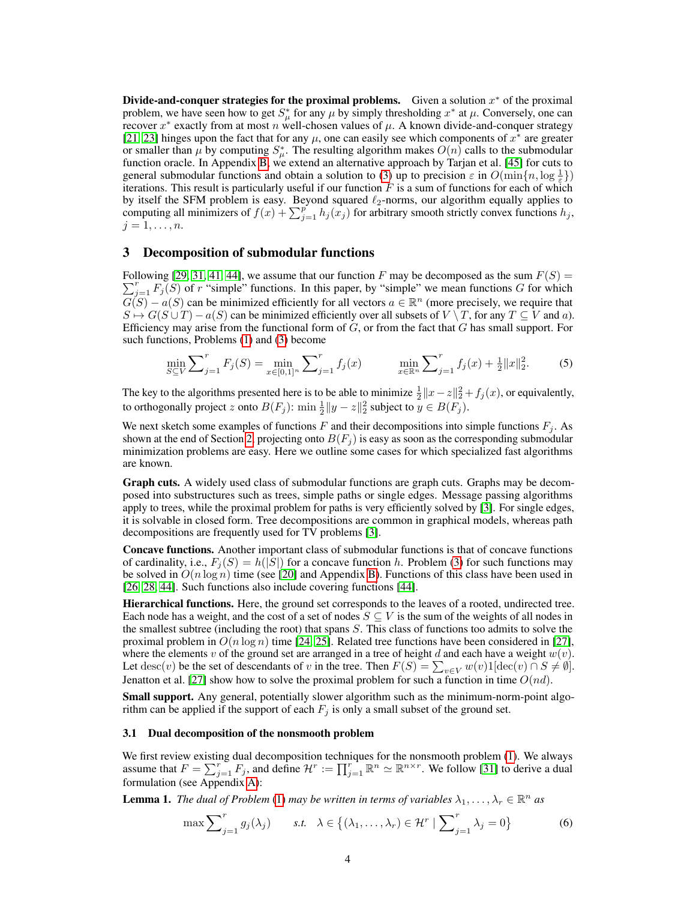Divide-and-conquer strategies for the proximal problems. Given a solution  $x^*$  of the proximal problem, we have seen how to get  $S^*_{\mu}$  for any  $\mu$  by simply thresholding  $x^*$  at  $\mu$ . Conversely, one can recover  $x^*$  exactly from at most n well-chosen values of  $\mu$ . A known divide-and-conquer strategy [\[21,](#page-9-2) [23\]](#page-9-14) hinges upon the fact that for any  $\mu$ , one can easily see which components of  $x^*$  are greater or smaller than  $\mu$  by computing  $S^*_{\mu}$ . The resulting algorithm makes  $O(n)$  calls to the submodular function oracle. In Appendix [B,](#page-11-0) we extend an alternative approach by Tarjan et al. [\[45\]](#page-10-12) for cuts to general submodular functions and obtain a solution to [\(3\)](#page-1-0) up to precision  $\varepsilon$  in  $O(\min\{n, \log \frac{1}{\varepsilon}\})$ iterations. This result is particularly useful if our function  $F$  is a sum of functions for each of which by itself the SFM problem is easy. Beyond squared  $\ell_2$ -norms, our algorithm equally applies to computing all minimizers of  $f(x) + \sum_{j=1}^{p} h_j(x_j)$  for arbitrary smooth strictly convex functions  $h_j$ ,  $j=1,\ldots,n.$ 

## <span id="page-3-0"></span>3 Decomposition of submodular functions

Following [[29,](#page-10-8) [31,](#page-10-9) [41,](#page-10-10) [44\]](#page-10-11), we assume that our function F may be decomposed as the sum  $F(S)$  =  $\sum_{j=1}^{r} F_j(S)$  of r "simple" functions. In this paper, by "simple" we mean functions G for which  $G(S) - a(S)$  can be minimized efficiently for all vectors  $a \in \mathbb{R}^n$  (more precisely, we require that  $S \mapsto G(S \cup T) - a(S)$  can be minimized efficiently over all subsets of  $V \setminus T$ , for any  $T \subseteq V$  and a). Efficiency may arise from the functional form of  $G$ , or from the fact that  $G$  has small support. For such functions, Problems [\(1\)](#page-0-0) and [\(3\)](#page-1-0) become

$$
\min_{S \subseteq V} \sum_{j=1}^{r} F_j(S) = \min_{x \in [0,1]^n} \sum_{j=1}^{r} f_j(x) \qquad \min_{x \in \mathbb{R}^n} \sum_{j=1}^{r} f_j(x) + \frac{1}{2} \|x\|_2^2. \tag{5}
$$

The key to the algorithms presented here is to be able to minimize  $\frac{1}{2}||x-z||_2^2 + f_j(x)$ , or equivalently, to orthogonally project z onto  $B(F_j)$ :  $\min \frac{1}{2} ||y - z||_2^2$  subject to  $y \in B(F_j)$ .

We next sketch some examples of functions  $F$  and their decompositions into simple functions  $F_i$ . As shown at the end of Section [2,](#page-2-0) projecting onto  $B(F_i)$  is easy as soon as the corresponding submodular minimization problems are easy. Here we outline some cases for which specialized fast algorithms are known.

Graph cuts. A widely used class of submodular functions are graph cuts. Graphs may be decomposed into substructures such as trees, simple paths or single edges. Message passing algorithms apply to trees, while the proximal problem for paths is very efficiently solved by [\[3\]](#page-9-11). For single edges, it is solvable in closed form. Tree decompositions are common in graphical models, whereas path decompositions are frequently used for TV problems [\[3\]](#page-9-11).

Concave functions. Another important class of submodular functions is that of concave functions of cardinality, i.e.,  $F_i(S) = h(|S|)$  for a concave function h. Problem [\(3\)](#page-1-0) for such functions may be solved in  $O(n \log n)$  time (see [\[20\]](#page-9-15) and Appendix [B\)](#page-11-0). Functions of this class have been used in [\[26,](#page-10-7) [28,](#page-10-13) [44\]](#page-10-11). Such functions also include covering functions [\[44\]](#page-10-11).

Hierarchical functions. Here, the ground set corresponds to the leaves of a rooted, undirected tree. Each node has a weight, and the cost of a set of nodes  $S \subseteq V$  is the sum of the weights of all nodes in the smallest subtree (including the root) that spans S. This class of functions too admits to solve the proximal problem in  $O(n \log n)$  time [\[24,](#page-9-16) [25\]](#page-10-14). Related tree functions have been considered in [\[27\]](#page-10-15), where the elements v of the ground set are arranged in a tree of height d and each have a weight  $w(v)$ . Let  $\text{desc}(v)$  be the set of descendants of v in the tree. Then  $F(S) = \sum_{v \in V} w(v) 1[\text{dec}(v) \cap S \neq \emptyset]$ . Jenatton et al. [\[27\]](#page-10-15) show how to solve the proximal problem for such a function in time  $O(nd)$ .

Small support. Any general, potentially slower algorithm such as the minimum-norm-point algorithm can be applied if the support of each  $F_i$  is only a small subset of the ground set.

#### <span id="page-3-3"></span>3.1 Dual decomposition of the nonsmooth problem

We first review existing dual decomposition techniques for the nonsmooth problem [\(1\)](#page-0-0). We always assume that  $F = \sum_{j=1}^{r} F_j$ , and define  $\mathcal{H}^r := \prod_{j=1}^{r} \mathbb{R}^n \simeq \mathbb{R}^{n \times r}$ . We follow [\[31\]](#page-10-9) to derive a dual formulation (see Appendix [A\)](#page-11-1):

<span id="page-3-1"></span>**Lemma 1.** The dual of Problem [\(1\)](#page-0-0) may be written in terms of variables  $\lambda_1, \ldots, \lambda_r \in \mathbb{R}^n$  as

<span id="page-3-2"></span>
$$
\max \sum_{j=1}^{r} g_j(\lambda_j) \qquad s.t. \quad \lambda \in \left\{ (\lambda_1, \dots, \lambda_r) \in \mathcal{H}^r \mid \sum_{j=1}^{r} \lambda_j = 0 \right\} \tag{6}
$$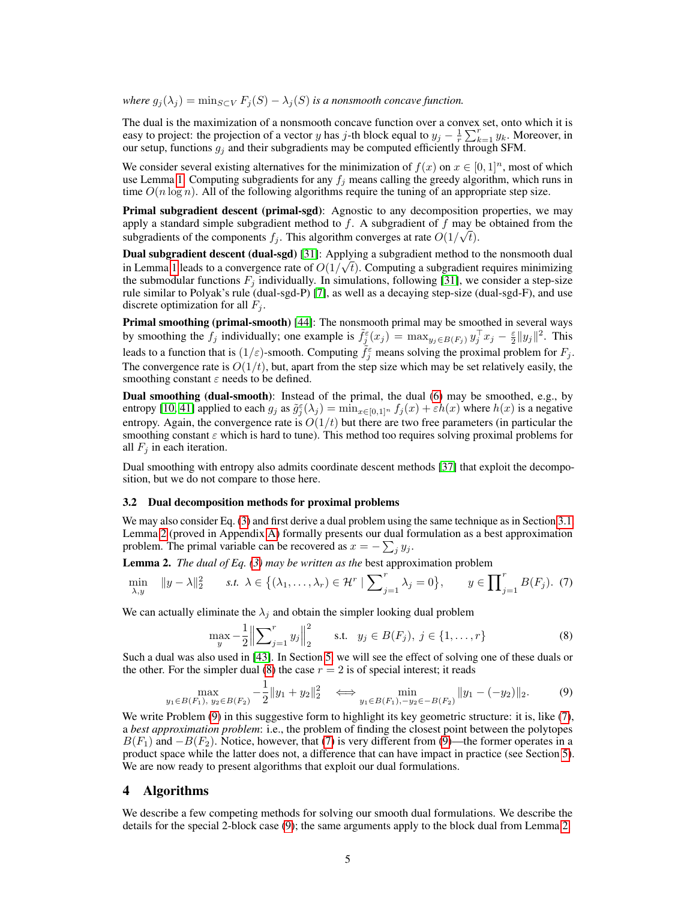*where*  $g_i(\lambda_i) = \min_{S \subset V} F_i(S) - \lambda_i(S)$  *is a nonsmooth concave function.* 

The dual is the maximization of a nonsmooth concave function over a convex set, onto which it is easy to project: the projection of a vector y has j-th block equal to  $y_j - \frac{1}{r} \sum_{k=1}^r y_k$ . Moreover, in our setup, functions  $g_j$  and their subgradients may be computed efficiently through SFM.

We consider several existing alternatives for the minimization of  $f(x)$  on  $x \in [0,1]^n$ , most of which use Lemma [1.](#page-3-1) Computing subgradients for any  $f_i$  means calling the greedy algorithm, which runs in time  $O(n \log n)$ . All of the following algorithms require the tuning of an appropriate step size.

Primal subgradient descent (primal-sgd): Agnostic to any decomposition properties, we may apply a standard simple subgradient method to f. A subgradient of f may be obtained from the subgradients of the components  $f_j$ . This algorithm converges at rate  $O(1/\sqrt{t})$ .

**Dual subgradient descent (dual-sgd)** [\[31\]](#page-10-9): Applying a subgradient method to the nonsmooth dual in Lemma [1](#page-3-1) leads to a convergence rate of  $O(1/\sqrt{t})$ . Computing a subgradient requires minimizing the submodular functions  $F_j$  individually. In simulations, following [\[31\]](#page-10-9), we consider a step-size rule similar to Polyak's rule (dual-sgd-P) [\[7\]](#page-9-17), as well as a decaying step-size (dual-sgd-F), and use discrete optimization for all  $F_i$ .

Primal smoothing (primal-smooth) [\[44\]](#page-10-11): The nonsmooth primal may be smoothed in several ways by smoothing the  $f_j$  individually; one example is  $\tilde{f}_j^{\varepsilon}(x_j) = \max_{y_j \in B(F_j)} y_j^{\top} x_j - \frac{\varepsilon}{2} ||y_j||^2$ . This leads to a function that is  $(1/\varepsilon)$ -smooth. Computing  $\tilde{f}_j^{\varepsilon}$  means solving the proximal problem for  $F_j$ . The convergence rate is  $O(1/t)$ , but, apart from the step size which may be set relatively easily, the smoothing constant  $\varepsilon$  needs to be defined.

Dual smoothing (dual-smooth): Instead of the primal, the dual [\(6\)](#page-3-2) may be smoothed, e.g., by entropy [\[10,](#page-9-18) [41\]](#page-10-10) applied to each  $g_j$  as  $\tilde{g}_j^{\varepsilon}(\lambda_j) = \min_{x \in [0,1]^n} f_j(x) + \varepsilon h(x)$  where  $h(x)$  is a negative entropy. Again, the convergence rate is  $O(1/t)$  but there are two free parameters (in particular the smoothing constant  $\varepsilon$  which is hard to tune). This method too requires solving proximal problems for all  $F_i$  in each iteration.

Dual smoothing with entropy also admits coordinate descent methods [\[37\]](#page-10-16) that exploit the decomposition, but we do not compare to those here.

#### 3.2 Dual decomposition methods for proximal problems

We may also consider Eq. [\(3\)](#page-1-0) and first derive a dual problem using the same technique as in Section [3.1.](#page-3-3) Lemma [2](#page-4-0) (proved in Appendix [A\)](#page-11-1) formally presents our dual formulation as a best approximation problem. The primal variable can be recovered as  $x = -\sum_j y_j$ .

<span id="page-4-0"></span>Lemma 2. *The dual of Eq. [\(3\)](#page-1-0) may be written as the* best approximation problem

$$
\min_{\lambda, y} \quad \|y - \lambda\|_2^2 \qquad s.t. \ \lambda \in \left\{ (\lambda_1, \dots, \lambda_r) \in \mathcal{H}^r \mid \sum_{j=1}^r \lambda_j = 0 \right\}, \qquad y \in \prod_{j=1}^r B(F_j). \tag{7}
$$

We can actually eliminate the  $\lambda_i$  and obtain the simpler looking dual problem

<span id="page-4-3"></span><span id="page-4-2"></span><span id="page-4-1"></span>
$$
\max_{y} -\frac{1}{2} \left\| \sum_{j=1}^{r} y_j \right\|_2^2 \quad \text{s.t.} \quad y_j \in B(F_j), \ j \in \{1, \dots, r\} \tag{8}
$$

Such a dual was also used in [\[43\]](#page-10-17). In Section [5,](#page-6-0) we will see the effect of solving one of these duals or the other. For the simpler dual [\(8\)](#page-4-1) the case  $r = 2$  is of special interest; it reads

$$
\max_{y_1 \in B(F_1), y_2 \in B(F_2)} -\frac{1}{2} \|y_1 + y_2\|_2^2 \iff \min_{y_1 \in B(F_1), -y_2 \in -B(F_2)} \|y_1 - (-y_2)\|_2. \tag{9}
$$

We write Problem [\(9\)](#page-4-2) in this suggestive form to highlight its key geometric structure: it is, like [\(7\)](#page-4-3), a *best approximation problem*: i.e., the problem of finding the closest point between the polytopes  $B(F_1)$  and  $-B(F_2)$ . Notice, however, that [\(7\)](#page-4-3) is very different from [\(9\)](#page-4-2)—the former operates in a product space while the latter does not, a difference that can have impact in practice (see Section [5\)](#page-6-0). We are now ready to present algorithms that exploit our dual formulations.

## 4 Algorithms

We describe a few competing methods for solving our smooth dual formulations. We describe the details for the special 2-block case [\(9\)](#page-4-2); the same arguments apply to the block dual from Lemma [2.](#page-4-0)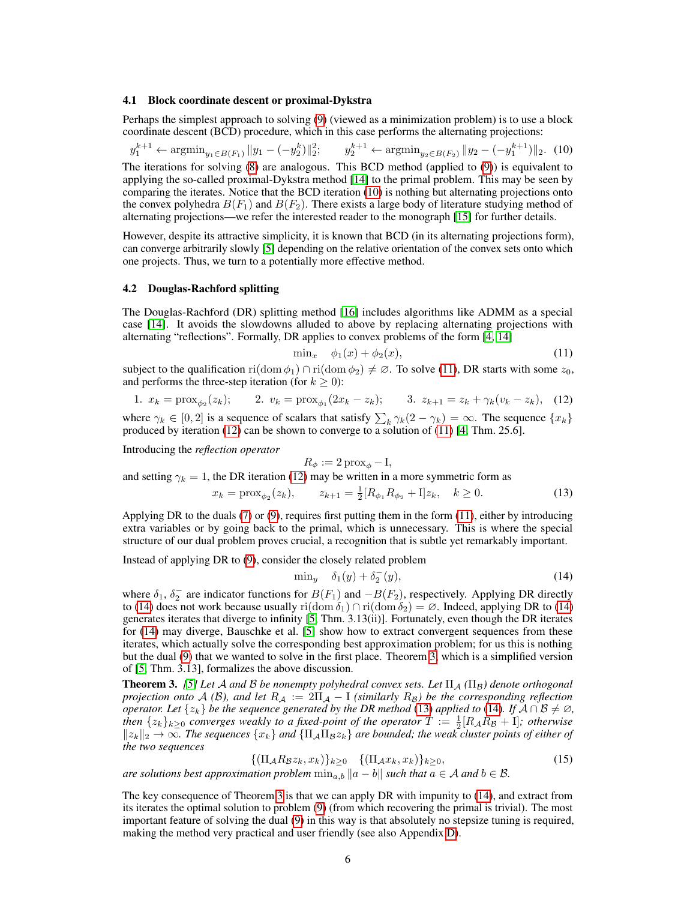#### 4.1 Block coordinate descent or proximal-Dykstra

Perhaps the simplest approach to solving [\(9\)](#page-4-2) (viewed as a minimization problem) is to use a block coordinate descent (BCD) procedure, which in this case performs the alternating projections:

 $y_1^{k+1} \leftarrow \operatorname{argmin}_{y_1 \in B(F_1)} \|y_1 - (-y_2^k)\|_2^2; \qquad y_2^{k+1} \leftarrow \operatorname{argmin}_{y_2 \in B(F_2)} \|y_2 - (-y_1^{k+1})\|_2.$  (10) The iterations for solving [\(8\)](#page-4-1) are analogous. This BCD method (applied to [\(9\)](#page-4-2)) is equivalent to applying the so-called proximal-Dykstra method [\[14\]](#page-9-6) to the primal problem. This may be seen by comparing the iterates. Notice that the BCD iteration [\(10\)](#page-5-1) is nothing but alternating projections onto the convex polyhedra  $B(F_1)$  and  $B(F_2)$ . There exists a large body of literature studying method of alternating projections—we refer the interested reader to the monograph [\[15\]](#page-9-19) for further details.

However, despite its attractive simplicity, it is known that BCD (in its alternating projections form), can converge arbitrarily slowly [\[5\]](#page-9-12) depending on the relative orientation of the convex sets onto which one projects. Thus, we turn to a potentially more effective method.

#### <span id="page-5-0"></span>4.2 Douglas-Rachford splitting

The Douglas-Rachford (DR) splitting method [\[16\]](#page-9-20) includes algorithms like ADMM as a special case [\[14\]](#page-9-6). It avoids the slowdowns alluded to above by replacing alternating projections with alternating "reflections". Formally, DR applies to convex problems of the form [\[4,](#page-9-21) [14\]](#page-9-6)

<span id="page-5-3"></span><span id="page-5-2"></span><span id="page-5-1"></span>
$$
\min_x \quad \phi_1(x) + \phi_2(x), \tag{11}
$$

subject to the qualification ri(dom  $\phi_1$ ) ∩ ri(dom  $\phi_2$ )  $\neq \emptyset$ . To solve [\(11\)](#page-5-2), DR starts with some  $z_0$ , and performs the three-step iteration (for  $k \geq 0$ ):

1. 
$$
x_k = \text{prox}_{\phi_2}(z_k);
$$
 2.  $v_k = \text{prox}_{\phi_1}(2x_k - z_k);$  3.  $z_{k+1} = z_k + \gamma_k(v_k - z_k),$  (12)

where  $\gamma_k \in [0,2]$  is a sequence of scalars that satisfy  $\sum_k \gamma_k(2-\gamma_k) = \infty$ . The sequence  $\{x_k\}$ produced by iteration [\(12\)](#page-5-3) can be shown to converge to a solution of [\(11\)](#page-5-2) [\[4;](#page-9-21) Thm. 25.6].

Introducing the *reflection operator*

<span id="page-5-6"></span>
$$
R_{\phi} := 2 \operatorname{prox}_{\phi} - I,
$$

and setting  $\gamma_k = 1$ , the DR iteration [\(12\)](#page-5-3) may be written in a more symmetric form as

$$
x_k = \text{prox}_{\phi_2}(z_k), \qquad z_{k+1} = \frac{1}{2}[R_{\phi_1}R_{\phi_2} + I]z_k, \quad k \ge 0. \tag{13}
$$

Applying DR to the duals [\(7\)](#page-4-3) or [\(9\)](#page-4-2), requires first putting them in the form [\(11\)](#page-5-2), either by introducing extra variables or by going back to the primal, which is unnecessary. This is where the special structure of our dual problem proves crucial, a recognition that is subtle yet remarkably important.

Instead of applying DR to [\(9\)](#page-4-2), consider the closely related problem

<span id="page-5-4"></span>
$$
\min_{y} \quad \delta_1(y) + \delta_2^-(y),\tag{14}
$$

where  $\delta_1$ ,  $\delta_2^-$  are indicator functions for  $B(F_1)$  and  $-B(F_2)$ , respectively. Applying DR directly to [\(14\)](#page-5-4) does not work because usually ri(dom  $\delta_1$ ) ∩ ri(dom  $\delta_2$ ) = ∅. Indeed, applying DR to (14) generates iterates that diverge to infinity [\[5;](#page-9-12) Thm. 3.13(ii)]. Fortunately, even though the DR iterates for [\(14\)](#page-5-4) may diverge, Bauschke et al. [\[5\]](#page-9-12) show how to extract convergent sequences from these iterates, which actually solve the corresponding best approximation problem; for us this is nothing but the dual [\(9\)](#page-4-2) that we wanted to solve in the first place. Theorem [3,](#page-5-5) which is a simplified version of [\[5;](#page-9-12) Thm. 3.13], formalizes the above discussion.

<span id="page-5-5"></span>**Theorem 3.** [\[5\]](#page-9-12) Let A and B be nonempty polyhedral convex sets. Let  $\Pi_A(\Pi_B)$  denote orthogonal *projection onto*  $A(\mathcal{B})$ *, and let*  $R_A := 2\Pi_A - I$  *(similarly*  $R_B$ *) be the corresponding reflection operator. Let*  $\{z_k\}$  *be the sequence generated by the DR method* [\(13\)](#page-5-6) *applied to* [\(14\)](#page-5-4)*. If*  $A \cap B \neq \emptyset$ *, then*  $\{z_k\}_{k\geq 0}$  *converges weakly to a fixed-point of the operator*  $T := \frac{1}{2}[R_A R_B + I]$ *; otherwise*  $||z_k||_2 \to \infty$ . The sequences  $\{x_k\}$  and  $\{\Pi_\mathcal{A} \Pi_\mathcal{B} z_k\}$  are bounded; the weak cluster points of either of *the two sequences*

$$
\{(\Pi_{\mathcal{A}}R_{\mathcal{B}}z_k, x_k)\}_{k\geq 0} \quad \{(\Pi_{\mathcal{A}}x_k, x_k)\}_{k\geq 0},\tag{15}
$$

*are solutions best approximation problem*  $\min_{a,b} ||a-b||$  *such that*  $a \in \mathcal{A}$  *and*  $b \in \mathcal{B}$ *.* 

The key consequence of Theorem [3](#page-5-5) is that we can apply DR with impunity to [\(14\)](#page-5-4), and extract from its iterates the optimal solution to problem [\(9\)](#page-4-2) (from which recovering the primal is trivial). The most important feature of solving the dual [\(9\)](#page-4-2) in this way is that absolutely no stepsize tuning is required, making the method very practical and user friendly (see also Appendix [D\)](#page-16-0).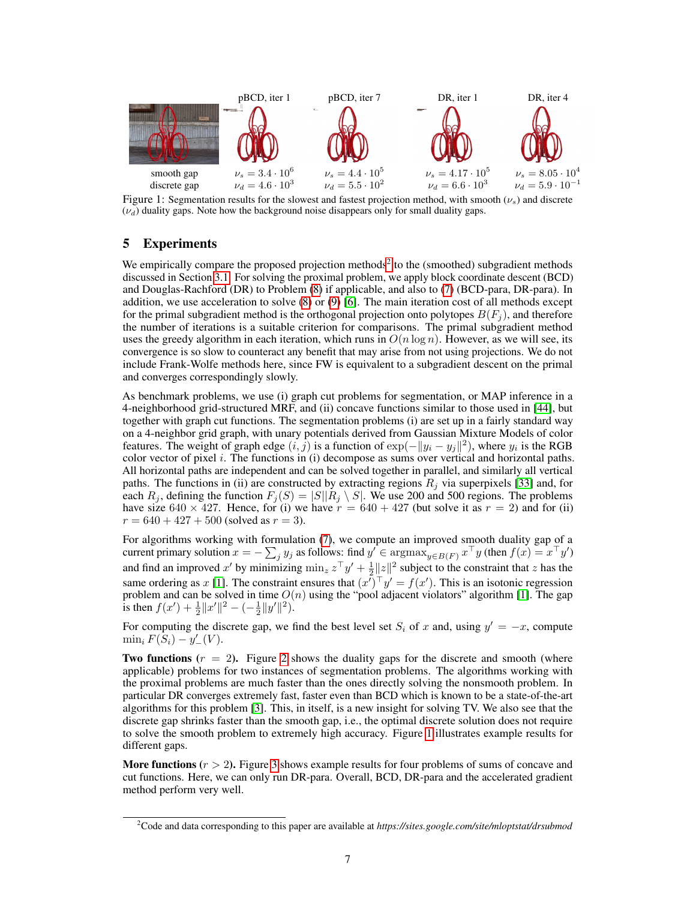

<span id="page-6-2"></span>Figure 1: Segmentation results for the slowest and fastest projection method, with smooth  $(\nu_s)$  and discrete  $(\nu_d)$  duality gaps. Note how the background noise disappears only for small duality gaps.

# <span id="page-6-0"></span>5 Experiments

We empirically compare the proposed projection methods<sup>[2](#page-6-1)</sup> to the (smoothed) subgradient methods discussed in Section [3.1.](#page-3-3) For solving the proximal problem, we apply block coordinate descent (BCD) and Douglas-Rachford (DR) to Problem [\(8\)](#page-4-1) if applicable, and also to [\(7\)](#page-4-3) (BCD-para, DR-para). In addition, we use acceleration to solve [\(8\)](#page-4-1) or [\(9\)](#page-4-2) [\[6\]](#page-9-13). The main iteration cost of all methods except for the primal subgradient method is the orthogonal projection onto polytopes  $B(F_i)$ , and therefore the number of iterations is a suitable criterion for comparisons. The primal subgradient method uses the greedy algorithm in each iteration, which runs in  $O(n \log n)$ . However, as we will see, its convergence is so slow to counteract any benefit that may arise from not using projections. We do not include Frank-Wolfe methods here, since FW is equivalent to a subgradient descent on the primal and converges correspondingly slowly.

As benchmark problems, we use (i) graph cut problems for segmentation, or MAP inference in a 4-neighborhood grid-structured MRF, and (ii) concave functions similar to those used in [\[44\]](#page-10-11), but together with graph cut functions. The segmentation problems (i) are set up in a fairly standard way on a 4-neighbor grid graph, with unary potentials derived from Gaussian Mixture Models of color features. The weight of graph edge  $(i, j)$  is a function of  $\exp(-||y_i - y_j||^2)$ , where  $y_i$  is the RGB color vector of pixel  $i$ . The functions in (i) decompose as sums over vertical and horizontal paths. All horizontal paths are independent and can be solved together in parallel, and similarly all vertical paths. The functions in (ii) are constructed by extracting regions  $R_j$  via superpixels [\[33\]](#page-10-18) and, for each  $R_j$ , defining the function  $F_j(S) = |S||R_j \setminus S|$ . We use 200 and 500 regions. The problems have size 640  $\times$  427. Hence, for (i) we have  $r = 640 + 427$  (but solve it as  $r = 2$ ) and for (ii)  $r = 640 + 427 + 500$  (solved as  $r = 3$ ).

For algorithms working with formulation [\(7\)](#page-4-3), we compute an improved smooth duality gap of a current primary solution  $x = -\sum_j y_j$  as follows: find  $y' \in \text{argmax}_{y \in B(F)} x^\top y$  (then  $f(x) = x^\top y'$ ) and find an improved x' by minimizing  $\min_z z$ <sup>T</sup> $y' + \frac{1}{2} ||z||^2$  subject to the constraint that z has the same ordering as x [\[1\]](#page-9-0). The constraint ensures that  $(x')^{\top}y' = f(x')$ . This is an isotonic regression problem and can be solved in time  $O(n)$  using the "pool adjacent violators" algorithm [\[1\]](#page-9-0). The gap is then  $f(x') + \frac{1}{2} ||x'||^2 - \left(-\frac{1}{2} ||y'||^2\right)$ .

For computing the discrete gap, we find the best level set  $S_i$  of x and, using  $y' = -x$ , compute  $\min_i F(S_i) - y'_{-}(V).$ 

**Two functions**  $(r = 2)$  $(r = 2)$  $(r = 2)$ . Figure 2 shows the duality gaps for the discrete and smooth (where applicable) problems for two instances of segmentation problems. The algorithms working with the proximal problems are much faster than the ones directly solving the nonsmooth problem. In particular DR converges extremely fast, faster even than BCD which is known to be a state-of-the-art algorithms for this problem [\[3\]](#page-9-11). This, in itself, is a new insight for solving TV. We also see that the discrete gap shrinks faster than the smooth gap, i.e., the optimal discrete solution does not require to solve the smooth problem to extremely high accuracy. Figure [1](#page-6-2) illustrates example results for different gaps.

**More functions**  $(r > 2)$ . Figure [3](#page-7-1) shows example results for four problems of sums of concave and cut functions. Here, we can only run DR-para. Overall, BCD, DR-para and the accelerated gradient method perform very well.

<span id="page-6-1"></span><sup>2</sup>Code and data corresponding to this paper are available at *https://sites.google.com/site/mloptstat/drsubmod*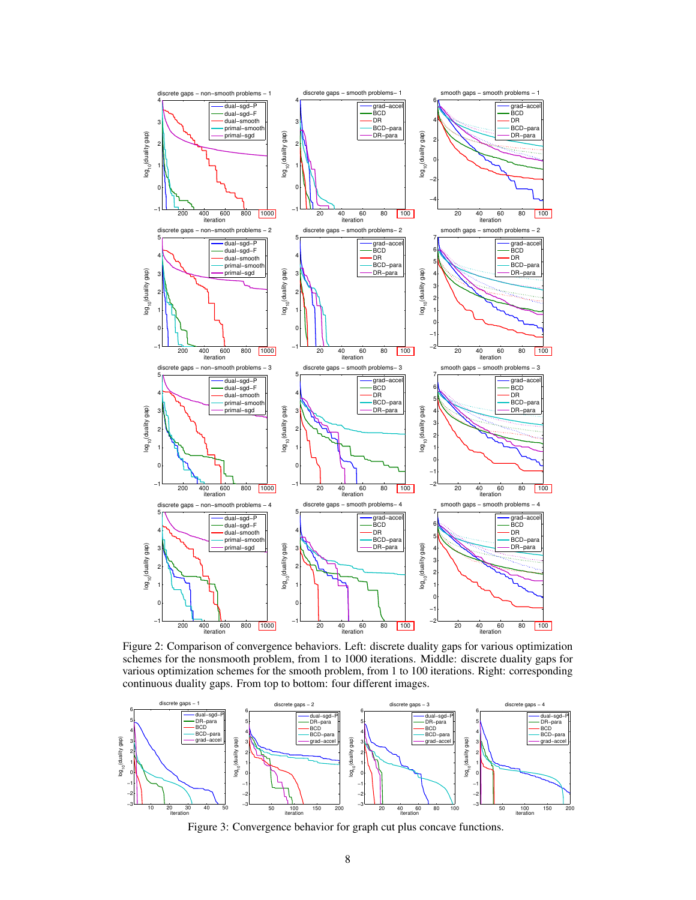

<span id="page-7-0"></span>Figure 2: Comparison of convergence behaviors. Left: discrete duality gaps for various optimization schemes for the nonsmooth problem, from 1 to 1000 iterations. Middle: discrete duality gaps for various optimization schemes for the smooth problem, from 1 to 100 iterations. Right: corresponding continuous duality gaps. From top to bottom: four different images.



<span id="page-7-1"></span>Figure 3: Convergence behavior for graph cut plus concave functions.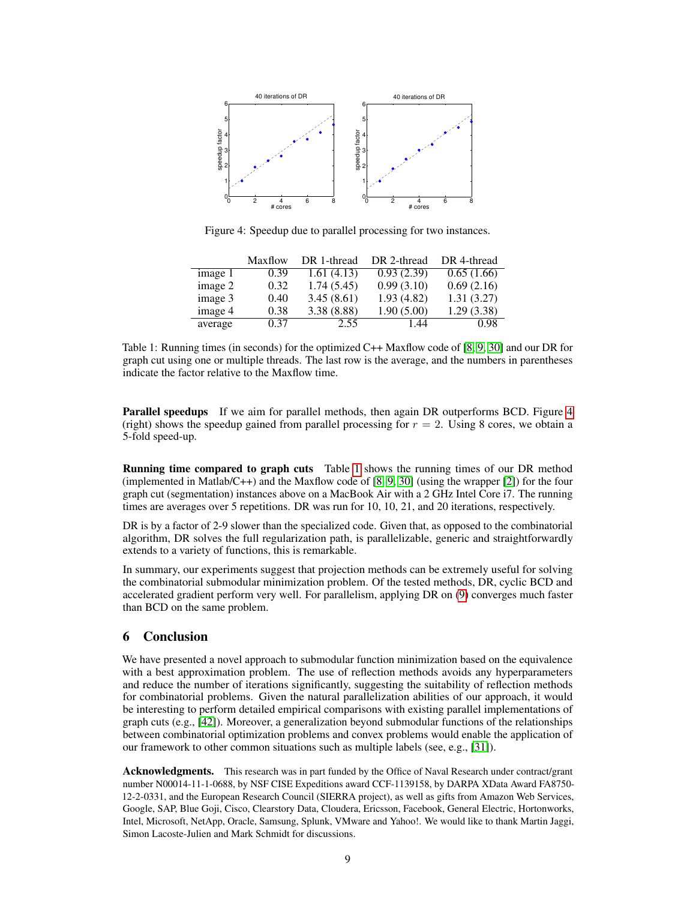

<span id="page-8-0"></span>Figure 4: Speedup due to parallel processing for two instances.

|                             | Maxflow | DR 1-thread | DR 2-thread | DR 4-thread |
|-----------------------------|---------|-------------|-------------|-------------|
| $\overline{\text{image}}$ 1 | 0.39    | 1.61(4.13)  | 0.93(2.39)  | 0.65(1.66)  |
| image 2                     | 0.32    | 1.74(5.45)  | 0.99(3.10)  | 0.69(2.16)  |
| image 3                     | 0.40    | 3.45(8.61)  | 1.93(4.82)  | 1.31(3.27)  |
| image 4                     | 0.38    | 3.38(8.88)  | 1.90(5.00)  | 1.29(3.38)  |
| average                     | 0.37    | 2.55        | 1.44        | 0.98        |

<span id="page-8-1"></span>Table 1: Running times (in seconds) for the optimized C++ Maxflow code of [\[8,](#page-9-22) [9,](#page-9-1) [30\]](#page-10-19) and our DR for graph cut using one or multiple threads. The last row is the average, and the numbers in parentheses indicate the factor relative to the Maxflow time.

Parallel speedups If we aim for parallel methods, then again DR outperforms BCD. Figure [4](#page-8-0) (right) shows the speedup gained from parallel processing for  $r = 2$ . Using 8 cores, we obtain a 5-fold speed-up.

Running time compared to graph cuts Table [1](#page-8-1) shows the running times of our DR method (implemented in Matlab/C++) and the Maxflow code of  $[8, 9, 30]$  $[8, 9, 30]$  $[8, 9, 30]$  $[8, 9, 30]$  $[8, 9, 30]$  (using the wrapper  $[2]$ ) for the four graph cut (segmentation) instances above on a MacBook Air with a 2 GHz Intel Core i7. The running times are averages over 5 repetitions. DR was run for 10, 10, 21, and 20 iterations, respectively.

DR is by a factor of 2-9 slower than the specialized code. Given that, as opposed to the combinatorial algorithm, DR solves the full regularization path, is parallelizable, generic and straightforwardly extends to a variety of functions, this is remarkable.

In summary, our experiments suggest that projection methods can be extremely useful for solving the combinatorial submodular minimization problem. Of the tested methods, DR, cyclic BCD and accelerated gradient perform very well. For parallelism, applying DR on [\(9\)](#page-4-2) converges much faster than BCD on the same problem.

# 6 Conclusion

We have presented a novel approach to submodular function minimization based on the equivalence with a best approximation problem. The use of reflection methods avoids any hyperparameters and reduce the number of iterations significantly, suggesting the suitability of reflection methods for combinatorial problems. Given the natural parallelization abilities of our approach, it would be interesting to perform detailed empirical comparisons with existing parallel implementations of graph cuts (e.g., [\[42\]](#page-10-20)). Moreover, a generalization beyond submodular functions of the relationships between combinatorial optimization problems and convex problems would enable the application of our framework to other common situations such as multiple labels (see, e.g., [\[31\]](#page-10-9)).

Acknowledgments. This research was in part funded by the Office of Naval Research under contract/grant number N00014-11-1-0688, by NSF CISE Expeditions award CCF-1139158, by DARPA XData Award FA8750- 12-2-0331, and the European Research Council (SIERRA project), as well as gifts from Amazon Web Services, Google, SAP, Blue Goji, Cisco, Clearstory Data, Cloudera, Ericsson, Facebook, General Electric, Hortonworks, Intel, Microsoft, NetApp, Oracle, Samsung, Splunk, VMware and Yahoo!. We would like to thank Martin Jaggi, Simon Lacoste-Julien and Mark Schmidt for discussions.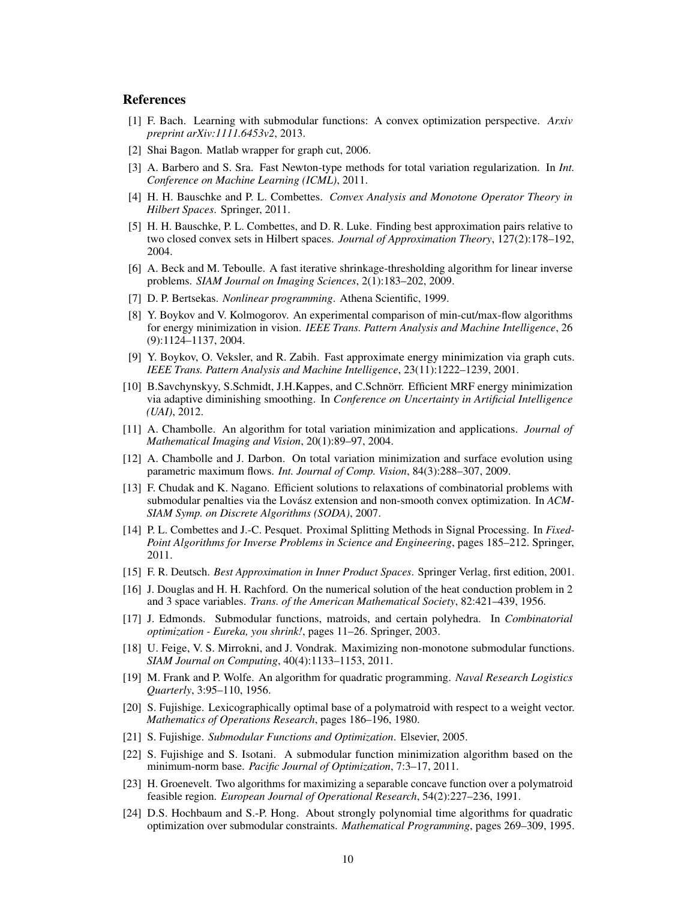## References

- <span id="page-9-0"></span>[1] F. Bach. Learning with submodular functions: A convex optimization perspective. *Arxiv preprint arXiv:1111.6453v2*, 2013.
- <span id="page-9-23"></span>[2] Shai Bagon. Matlab wrapper for graph cut, 2006.
- <span id="page-9-11"></span>[3] A. Barbero and S. Sra. Fast Newton-type methods for total variation regularization. In *Int. Conference on Machine Learning (ICML)*, 2011.
- <span id="page-9-21"></span>[4] H. H. Bauschke and P. L. Combettes. *Convex Analysis and Monotone Operator Theory in Hilbert Spaces*. Springer, 2011.
- <span id="page-9-12"></span>[5] H. H. Bauschke, P. L. Combettes, and D. R. Luke. Finding best approximation pairs relative to two closed convex sets in Hilbert spaces. *Journal of Approximation Theory*, 127(2):178–192, 2004.
- <span id="page-9-13"></span>[6] A. Beck and M. Teboulle. A fast iterative shrinkage-thresholding algorithm for linear inverse problems. *SIAM Journal on Imaging Sciences*, 2(1):183–202, 2009.
- <span id="page-9-17"></span>[7] D. P. Bertsekas. *Nonlinear programming*. Athena Scientific, 1999.
- <span id="page-9-22"></span>[8] Y. Boykov and V. Kolmogorov. An experimental comparison of min-cut/max-flow algorithms for energy minimization in vision. *IEEE Trans. Pattern Analysis and Machine Intelligence*, 26 (9):1124–1137, 2004.
- <span id="page-9-1"></span>[9] Y. Boykov, O. Veksler, and R. Zabih. Fast approximate energy minimization via graph cuts. *IEEE Trans. Pattern Analysis and Machine Intelligence*, 23(11):1222–1239, 2001.
- <span id="page-9-18"></span>[10] B.Savchynskyy, S.Schmidt, J.H.Kappes, and C.Schnorr. Efficient MRF energy minimization ¨ via adaptive diminishing smoothing. In *Conference on Uncertainty in Artificial Intelligence (UAI)*, 2012.
- <span id="page-9-7"></span>[11] A. Chambolle. An algorithm for total variation minimization and applications. *Journal of Mathematical Imaging and Vision*, 20(1):89–97, 2004.
- <span id="page-9-5"></span>[12] A. Chambolle and J. Darbon. On total variation minimization and surface evolution using parametric maximum flows. *Int. Journal of Comp. Vision*, 84(3):288–307, 2009.
- <span id="page-9-10"></span>[13] F. Chudak and K. Nagano. Efficient solutions to relaxations of combinatorial problems with submodular penalties via the Lovász extension and non-smooth convex optimization. In *ACM*-*SIAM Symp. on Discrete Algorithms (SODA)*, 2007.
- <span id="page-9-6"></span>[14] P. L. Combettes and J.-C. Pesquet. Proximal Splitting Methods in Signal Processing. In *Fixed-Point Algorithms for Inverse Problems in Science and Engineering*, pages 185–212. Springer, 2011.
- <span id="page-9-19"></span>[15] F. R. Deutsch. *Best Approximation in Inner Product Spaces*. Springer Verlag, first edition, 2001.
- <span id="page-9-20"></span>[16] J. Douglas and H. H. Rachford. On the numerical solution of the heat conduction problem in 2 and 3 space variables. *Trans. of the American Mathematical Society*, 82:421–439, 1956.
- <span id="page-9-4"></span>[17] J. Edmonds. Submodular functions, matroids, and certain polyhedra. In *Combinatorial optimization - Eureka, you shrink!*, pages 11–26. Springer, 2003.
- <span id="page-9-3"></span>[18] U. Feige, V. S. Mirrokni, and J. Vondrak. Maximizing non-monotone submodular functions. *SIAM Journal on Computing*, 40(4):1133–1153, 2011.
- <span id="page-9-8"></span>[19] M. Frank and P. Wolfe. An algorithm for quadratic programming. *Naval Research Logistics Quarterly*, 3:95–110, 1956.
- <span id="page-9-15"></span>[20] S. Fujishige. Lexicographically optimal base of a polymatroid with respect to a weight vector. *Mathematics of Operations Research*, pages 186–196, 1980.
- <span id="page-9-2"></span>[21] S. Fujishige. *Submodular Functions and Optimization*. Elsevier, 2005.
- <span id="page-9-9"></span>[22] S. Fujishige and S. Isotani. A submodular function minimization algorithm based on the minimum-norm base. *Pacific Journal of Optimization*, 7:3–17, 2011.
- <span id="page-9-14"></span>[23] H. Groenevelt. Two algorithms for maximizing a separable concave function over a polymatroid feasible region. *European Journal of Operational Research*, 54(2):227–236, 1991.
- <span id="page-9-16"></span>[24] D.S. Hochbaum and S.-P. Hong. About strongly polynomial time algorithms for quadratic optimization over submodular constraints. *Mathematical Programming*, pages 269–309, 1995.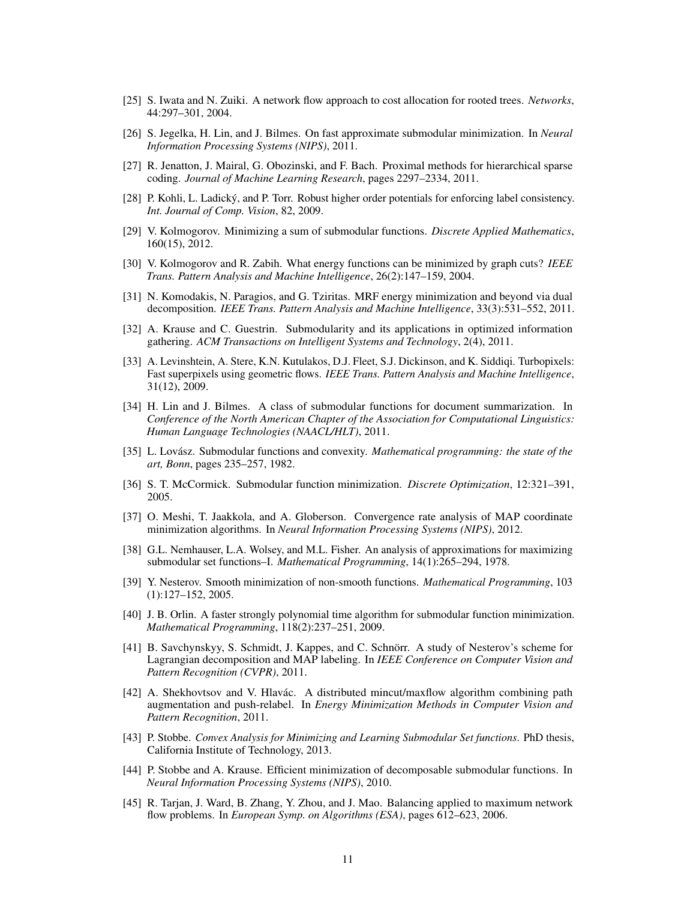- <span id="page-10-14"></span>[25] S. Iwata and N. Zuiki. A network flow approach to cost allocation for rooted trees. *Networks*, 44:297–301, 2004.
- <span id="page-10-7"></span>[26] S. Jegelka, H. Lin, and J. Bilmes. On fast approximate submodular minimization. In *Neural Information Processing Systems (NIPS)*, 2011.
- <span id="page-10-15"></span>[27] R. Jenatton, J. Mairal, G. Obozinski, and F. Bach. Proximal methods for hierarchical sparse coding. *Journal of Machine Learning Research*, pages 2297–2334, 2011.
- <span id="page-10-13"></span>[28] P. Kohli, L. Ladický, and P. Torr. Robust higher order potentials for enforcing label consistency. *Int. Journal of Comp. Vision*, 82, 2009.
- <span id="page-10-8"></span>[29] V. Kolmogorov. Minimizing a sum of submodular functions. *Discrete Applied Mathematics*, 160(15), 2012.
- <span id="page-10-19"></span>[30] V. Kolmogorov and R. Zabih. What energy functions can be minimized by graph cuts? *IEEE Trans. Pattern Analysis and Machine Intelligence*, 26(2):147–159, 2004.
- <span id="page-10-9"></span>[31] N. Komodakis, N. Paragios, and G. Tziritas. MRF energy minimization and beyond via dual decomposition. *IEEE Trans. Pattern Analysis and Machine Intelligence*, 33(3):531–552, 2011.
- <span id="page-10-0"></span>[32] A. Krause and C. Guestrin. Submodularity and its applications in optimized information gathering. *ACM Transactions on Intelligent Systems and Technology*, 2(4), 2011.
- <span id="page-10-18"></span>[33] A. Levinshtein, A. Stere, K.N. Kutulakos, D.J. Fleet, S.J. Dickinson, and K. Siddiqi. Turbopixels: Fast superpixels using geometric flows. *IEEE Trans. Pattern Analysis and Machine Intelligence*, 31(12), 2009.
- <span id="page-10-1"></span>[34] H. Lin and J. Bilmes. A class of submodular functions for document summarization. In *Conference of the North American Chapter of the Association for Computational Linguistics: Human Language Technologies (NAACL/HLT)*, 2011.
- <span id="page-10-5"></span>[35] L. Lovász. Submodular functions and convexity. *Mathematical programming: the state of the art, Bonn*, pages 235–257, 1982.
- <span id="page-10-4"></span>[36] S. T. McCormick. Submodular function minimization. *Discrete Optimization*, 12:321–391, 2005.
- <span id="page-10-16"></span>[37] O. Meshi, T. Jaakkola, and A. Globerson. Convergence rate analysis of MAP coordinate minimization algorithms. In *Neural Information Processing Systems (NIPS)*, 2012.
- <span id="page-10-2"></span>[38] G.L. Nemhauser, L.A. Wolsey, and M.L. Fisher. An analysis of approximations for maximizing submodular set functions–I. *Mathematical Programming*, 14(1):265–294, 1978.
- <span id="page-10-6"></span>[39] Y. Nesterov. Smooth minimization of non-smooth functions. *Mathematical Programming*, 103 (1):127–152, 2005.
- <span id="page-10-3"></span>[40] J. B. Orlin. A faster strongly polynomial time algorithm for submodular function minimization. *Mathematical Programming*, 118(2):237–251, 2009.
- <span id="page-10-10"></span>[41] B. Savchynskyy, S. Schmidt, J. Kappes, and C. Schnörr. A study of Nesterov's scheme for Lagrangian decomposition and MAP labeling. In *IEEE Conference on Computer Vision and Pattern Recognition (CVPR)*, 2011.
- <span id="page-10-20"></span>[42] A. Shekhovtsov and V. Hlavác. A distributed mincut/maxflow algorithm combining path augmentation and push-relabel. In *Energy Minimization Methods in Computer Vision and Pattern Recognition*, 2011.
- <span id="page-10-17"></span>[43] P. Stobbe. *Convex Analysis for Minimizing and Learning Submodular Set functions*. PhD thesis, California Institute of Technology, 2013.
- <span id="page-10-11"></span>[44] P. Stobbe and A. Krause. Efficient minimization of decomposable submodular functions. In *Neural Information Processing Systems (NIPS)*, 2010.
- <span id="page-10-12"></span>[45] R. Tarjan, J. Ward, B. Zhang, Y. Zhou, and J. Mao. Balancing applied to maximum network flow problems. In *European Symp. on Algorithms (ESA)*, pages 612–623, 2006.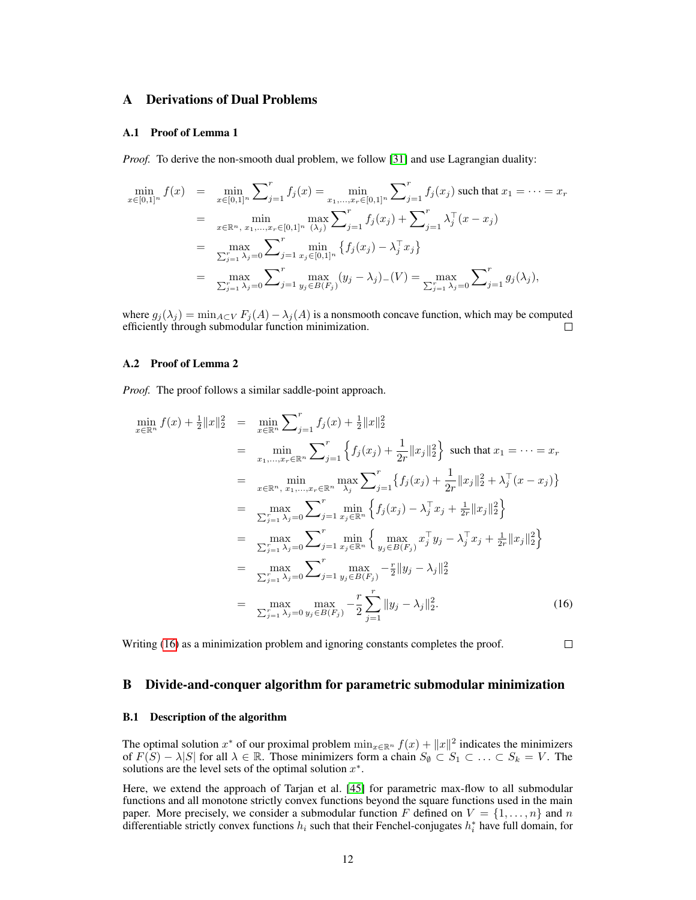## <span id="page-11-1"></span>A Derivations of Dual Problems

#### A.1 Proof of Lemma 1

*Proof.* To derive the non-smooth dual problem, we follow [\[31\]](#page-10-9) and use Lagrangian duality:

$$
\min_{x \in [0,1]^n} f(x) = \min_{x \in [0,1]^n} \sum_{j=1}^r f_j(x) = \min_{x_1, \dots, x_r \in [0,1]^n} \sum_{j=1}^r f_j(x_j) \text{ such that } x_1 = \dots = x_r
$$

$$
= \min_{x \in \mathbb{R}^n, x_1, \dots, x_r \in [0,1]^n} \max_{(\lambda_j)} \sum_{j=1}^r f_j(x_j) + \sum_{j=1}^r \lambda_j^{\top} (x - x_j)
$$

$$
= \max_{\sum_{j=1}^r \lambda_j = 0} \sum_{j=1}^r \min_{x_j \in [0,1]^n} \{ f_j(x_j) - \lambda_j^{\top} x_j \}
$$

$$
= \max_{\sum_{j=1}^r \lambda_j = 0} \sum_{j=1}^r \max_{y_j \in B(F_j)} (y_j - \lambda_j) (V) = \max_{\sum_{j=1}^r \lambda_j = 0} \sum_{j=1}^r g_j(\lambda_j),
$$

where  $g_j(\lambda_j) = \min_{A \subset V} F_j(A) - \lambda_j(A)$  is a nonsmooth concave function, which may be computed efficiently through submodular function minimization. П

#### A.2 Proof of Lemma 2

*Proof.* The proof follows a similar saddle-point approach.

<span id="page-11-2"></span>
$$
\min_{x \in \mathbb{R}^n} f(x) + \frac{1}{2} \|x\|_2^2 = \min_{x \in \mathbb{R}^n} \sum_{j=1}^r f_j(x) + \frac{1}{2} \|x\|_2^2
$$
\n
$$
= \min_{x_1, \dots, x_r \in \mathbb{R}^n} \sum_{j=1}^r \left\{ f_j(x_j) + \frac{1}{2r} \|x_j\|_2^2 \right\} \text{ such that } x_1 = \dots = x_r
$$
\n
$$
= \min_{x \in \mathbb{R}^n, x_1, \dots, x_r \in \mathbb{R}^n} \max_{\lambda_j} \sum_{j=1}^r \left\{ f_j(x_j) + \frac{1}{2r} \|x_j\|_2^2 + \lambda_j^-(x - x_j) \right\}
$$
\n
$$
= \max_{\sum_{j=1}^r \lambda_j = 0} \sum_{j=1}^r \min_{x_j \in \mathbb{R}^n} \left\{ f_j(x_j) - \lambda_j^-(x_j) + \frac{1}{2r} \|x_j\|_2^2 \right\}
$$
\n
$$
= \max_{\sum_{j=1}^r \lambda_j = 0} \sum_{j=1}^r \min_{x_j \in \mathbb{R}^n} \left\{ \max_{y_j \in B(F_j)} x_j^-(y_j) - \lambda_j^-(x_j) + \frac{1}{2r} \|x_j\|_2^2 \right\}
$$
\n
$$
= \max_{\sum_{j=1}^r \lambda_j = 0} \sum_{j=1}^r \max_{y_j \in B(F_j)} -\frac{r}{2} \|y_j - \lambda_j\|_2^2
$$
\n
$$
= \max_{\sum_{j=1}^r \lambda_j = 0} \max_{y_j \in B(F_j)} -\frac{r}{2} \sum_{j=1}^r \|y_j - \lambda_j\|_2^2. \tag{16}
$$

Writing [\(16\)](#page-11-2) as a minimization problem and ignoring constants completes the proof.

 $\Box$ 

#### <span id="page-11-0"></span>B Divide-and-conquer algorithm for parametric submodular minimization

#### B.1 Description of the algorithm

The optimal solution  $x^*$  of our proximal problem  $\min_{x \in \mathbb{R}^n} f(x) + ||x||^2$  indicates the minimizers of  $F(S) - \lambda |S|$  for all  $\lambda \in \mathbb{R}$ . Those minimizers form a chain  $S_{\emptyset} \subset S_1 \subset \ldots \subset S_k = V$ . The solutions are the level sets of the optimal solution  $x^*$ .

Here, we extend the approach of Tarjan et al. [\[45\]](#page-10-12) for parametric max-flow to all submodular functions and all monotone strictly convex functions beyond the square functions used in the main paper. More precisely, we consider a submodular function F defined on  $V = \{1, \ldots, n\}$  and n differentiable strictly convex functions  $h_i$  such that their Fenchel-conjugates  $h_i^*$  have full domain, for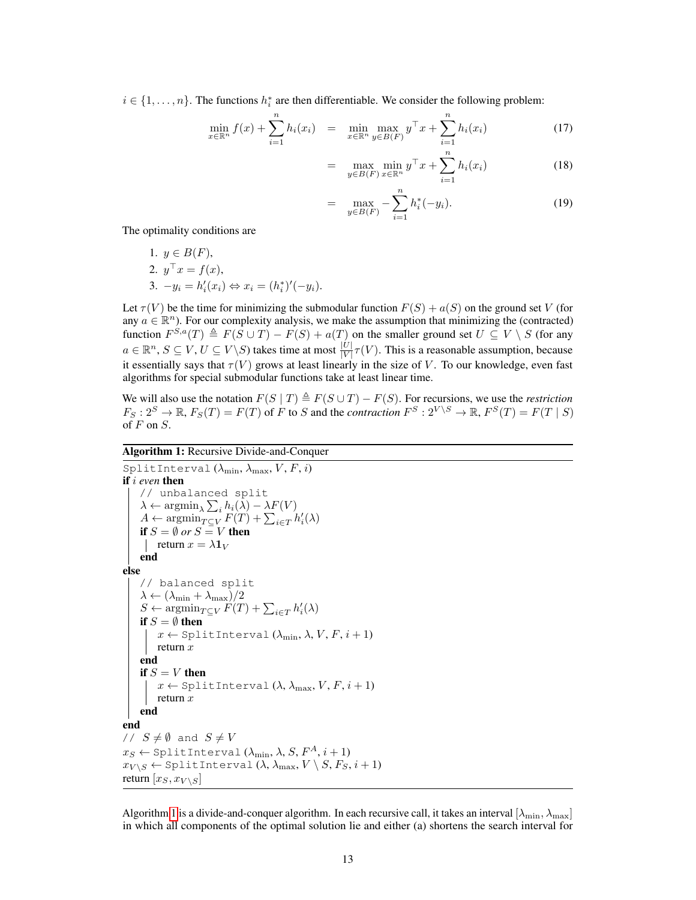$i \in \{1, \ldots, n\}$ . The functions  $h_i^*$  are then differentiable. We consider the following problem:

<span id="page-12-1"></span>
$$
\min_{x \in \mathbb{R}^n} f(x) + \sum_{i=1}^n h_i(x_i) = \min_{x \in \mathbb{R}^n} \max_{y \in B(F)} y^\top x + \sum_{i=1}^n h_i(x_i)
$$
\n(17)

$$
= \max_{y \in B(F)} \min_{x \in \mathbb{R}^n} y^{\top} x + \sum_{i=1}^n h_i(x_i)
$$
 (18)

$$
= \max_{y \in B(F)} -\sum_{i=1}^{n} h_i^*(-y_i).
$$
 (19)

The optimality conditions are

1. 
$$
y \in B(F)
$$
,  
\n2.  $y^{\top} x = f(x)$ ,  
\n3.  $-y_i = h'_i(x_i) \Leftrightarrow x_i = (h_i^*)'(-y_i)$ .

Let  $\tau(V)$  be the time for minimizing the submodular function  $F(S) + a(S)$  on the ground set V (for any  $a \in \mathbb{R}^n$ ). For our complexity analysis, we make the assumption that minimizing the (contracted) function  $F^{S,a}(T) \triangleq F(S \cup T) - F(S) + a(T)$  on the smaller ground set  $U \subseteq V \setminus S$  (for any  $a \in \mathbb{R}^n$ ,  $S \subseteq V$ ,  $U \subseteq V \setminus S$ ) takes time at most  $\frac{|U|}{|V|} \tau(V)$ . This is a reasonable assumption, because it essentially says that  $\tau(V)$  grows at least linearly in the size of V. To our knowledge, even fast algorithms for special submodular functions take at least linear time.

We will also use the notation  $F(S | T) \triangleq F(S \cup T) - F(S)$ . For recursions, we use the *restriction*  $F_S: 2^S \to \mathbb{R}$ ,  $F_S(T) = F(T)$  of F to S and the *contraction*  $F^S: 2^{V \setminus S} \to \mathbb{R}$ ,  $F^S(T) = F(T | S)$ of  $F$  on  $S$ .

## Algorithm 1: Recursive Divide-and-Conquer

```
SplitInterval (\lambda_{\min}, \lambda_{\max}, V, F, i)if i even then
     // unbalanced split
      \lambda \leftarrow \operatorname{argmin}_{\lambda} \sum_{i} h_i(\lambda) - \lambda F(V)A \leftarrow \operatorname{argmin}_{T \subseteq V} F(T) + \sum_{i \in T} h'_i(\lambda)if S = \emptyset or S = V then
      return x = \lambda \mathbf{1}_Vend
else
    // balanced split
     \lambda \leftarrow (\lambda_{\min} + \lambda_{\max})/2S \leftarrow \operatorname{argmin}_{T \subseteq V} F(T) + \sum_{i \in T} h'_i(\lambda)if S = \emptyset then
           x \leftarrow \text{SplitInterval}(\lambda_{\min}, \lambda, V, F, i + 1)return xend
     if S = V then
           x \leftarrow \text{SplitInterval}(\lambda, \lambda_{\text{max}}, V, F, i + 1)return xend
end
// S \neq \emptyset and S \neq Vx_S \leftarrow \texttt{SplitInterval}~(\lambda_{\text{min}}, \lambda, S, F^A, i+1)x_{V \setminus S} \leftarrow \texttt{SplitInterval}~(\lambda, \lambda_{\max}, V \setminus S, F_S, i+1)return [x_S, x_{V \setminus S}]
```
<span id="page-12-0"></span>Algorithm [1](#page-12-0) is a divide-and-conquer algorithm. In each recursive call, it takes an interval  $[\lambda_{\min}, \lambda_{\max}]$ in which all components of the optimal solution lie and either (a) shortens the search interval for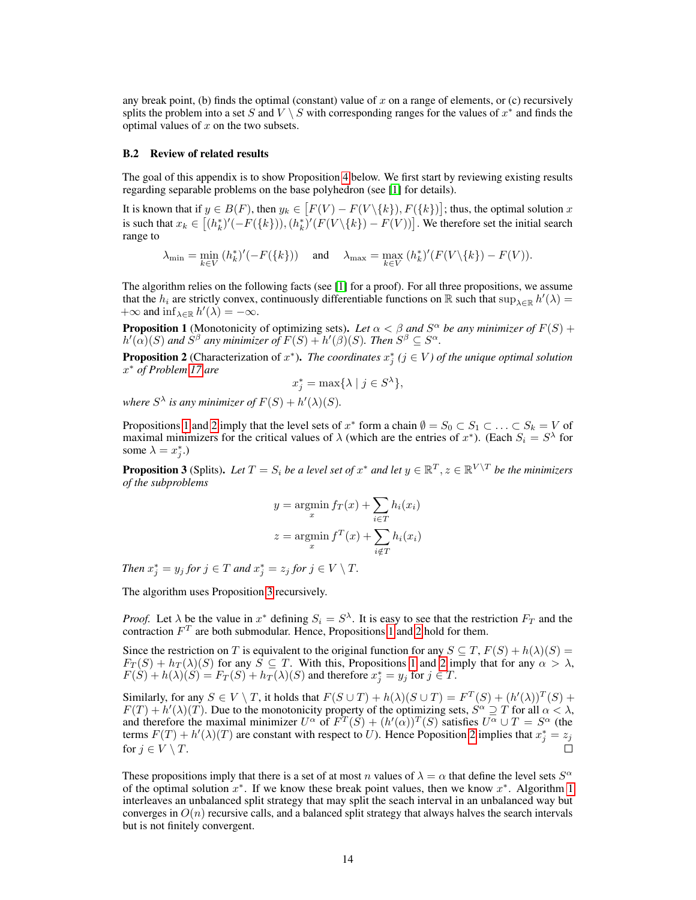any break point, (b) finds the optimal (constant) value of  $x$  on a range of elements, or (c) recursively splits the problem into a set S and  $V \setminus S$  with corresponding ranges for the values of  $x^*$  and finds the optimal values of  $x$  on the two subsets.

#### B.2 Review of related results

The goal of this appendix is to show Proposition [4](#page-14-0) below. We first start by reviewing existing results regarding separable problems on the base polyhedron (see [\[1\]](#page-9-0) for details).

It is known that if  $y \in B(F)$ , then  $y_k \in [F(V) - F(V \setminus \{k\}), F(\{k\})]$ ; thus, the optimal solution  $x$ is such that  $x_k \in [(h_k^*)'(-F(\lbrace k \rbrace)), (h_k^*)'(F(V\lbrace k \rbrace) - F(V))]$ . We therefore set the initial search range to

 $\lambda_{\min} = \min_{k \in V} (h_k^*)'(-F(\lbrace k \rbrace))$  and  $\lambda_{\max} = \max_{k \in V} (h_k^*)'(F(V(\lbrace k \rbrace) - F(V)).$ 

The algorithm relies on the following facts (see [\[1\]](#page-9-0) for a proof). For all three propositions, we assume that the  $h_i$  are strictly convex, continuously differentiable functions on R such that  $\sup_{\lambda\in\mathbb{R}} h'(\lambda)$  $+\infty$  and  $\inf_{\lambda \in \mathbb{R}} h'(\lambda) = -\infty$ .

<span id="page-13-0"></span>**Proposition 1** (Monotonicity of optimizing sets). Let  $\alpha < \beta$  and  $S^{\alpha}$  be any minimizer of  $F(S)$  +  $h'(\alpha)(S)$  and  $S^{\beta}$  any minimizer of  $F(S) + h'(\beta)(S)$ . Then  $S^{\beta} \subseteq S^{\alpha}$ .

<span id="page-13-1"></span>**Proposition 2** (Characterization of  $x^*$ ). *The coordinates*  $x_j^*$  ( $j \in V$ ) of the unique optimal solution x <sup>∗</sup> *of Problem [17](#page-12-1) are*

$$
x_j^* = \max\{\lambda \mid j \in S^{\lambda}\},\
$$

where  $S^{\lambda}$  is any minimizer of  $F(S) + h'(\lambda)(S)$ .

Propositions [1](#page-13-0) and [2](#page-13-1) imply that the level sets of  $x^*$  form a chain  $\emptyset = S_0 \subset S_1 \subset \ldots \subset S_k = V$  of maximal minimizers for the critical values of  $\lambda$  (which are the entries of  $x^*$ ). (Each  $S_i = S^{\lambda}$  for some  $\lambda = x_j^*$ .)

<span id="page-13-2"></span>**Proposition 3** (Splits). Let  $T = S_i$  be a level set of  $x^*$  and let  $y \in \mathbb{R}^T$ ,  $z \in \mathbb{R}^{V \setminus T}$  be the minimizers *of the subproblems*

$$
y = \operatorname*{argmin}_{x} f_T(x) + \sum_{i \in T} h_i(x_i)
$$

$$
z = \operatorname*{argmin}_{x} f^T(x) + \sum_{i \notin T} h_i(x_i)
$$

*Then*  $x_j^* = y_j$  *for*  $j \in T$  *and*  $x_j^* = z_j$  *for*  $j \in V \setminus T$ *.* 

The algorithm uses Proposition [3](#page-13-2) recursively.

*Proof.* Let  $\lambda$  be the value in  $x^*$  defining  $S_i = S^{\lambda}$ . It is easy to see that the restriction  $F_T$  and the contraction  $F<sup>T</sup>$  are both submodular. Hence, Propositions [1](#page-13-0) and [2](#page-13-1) hold for them.

Since the restriction on T is equivalent to the original function for any  $S \subseteq T$ ,  $F(S) + h(\lambda)(S) =$  $F_T(S) + h_T(\lambda)(S)$  for any  $S \subseteq T$ . With this, Propositions [1](#page-13-0) and [2](#page-13-1) imply that for any  $\alpha > \lambda$ ,  $F(S) + h(\lambda)(S) = F_T(S) + h_T(\lambda)(S)$  and therefore  $x_j^* = y_j$  for  $j \in T$ .

Similarly, for any  $S \in V \setminus T$ , it holds that  $F(S \cup T) + h(\lambda)(S \cup T) = F^T(S) + (h'(\lambda))^T(S) +$  $F(T) + h'(\lambda)(T)$ . Due to the monotonicity property of the optimizing sets,  $S^{\alpha} \supseteq T$  for all  $\alpha < \lambda$ , and therefore the maximal minimizer  $U^{\alpha}$  of  $F^{T}(S) + (h'(\alpha))^{T}(S)$  satisfies  $U^{\alpha} \cup T = S^{\alpha}$  (the terms  $F(T) + h'(\lambda)(T)$  are constant with respect to U). Hence Poposition [2](#page-13-1) implies that  $x_j^* = z_j$ for  $j \in V \setminus T$ .

These propositions imply that there is a set of at most n values of  $\lambda = \alpha$  that define the level sets  $S^{\alpha}$ of the optimal solution  $x^*$ . If we know these break point values, then we know  $x^*$ . Algorithm [1](#page-12-0) interleaves an unbalanced split strategy that may split the seach interval in an unbalanced way but converges in  $O(n)$  recursive calls, and a balanced split strategy that always halves the search intervals but is not finitely convergent.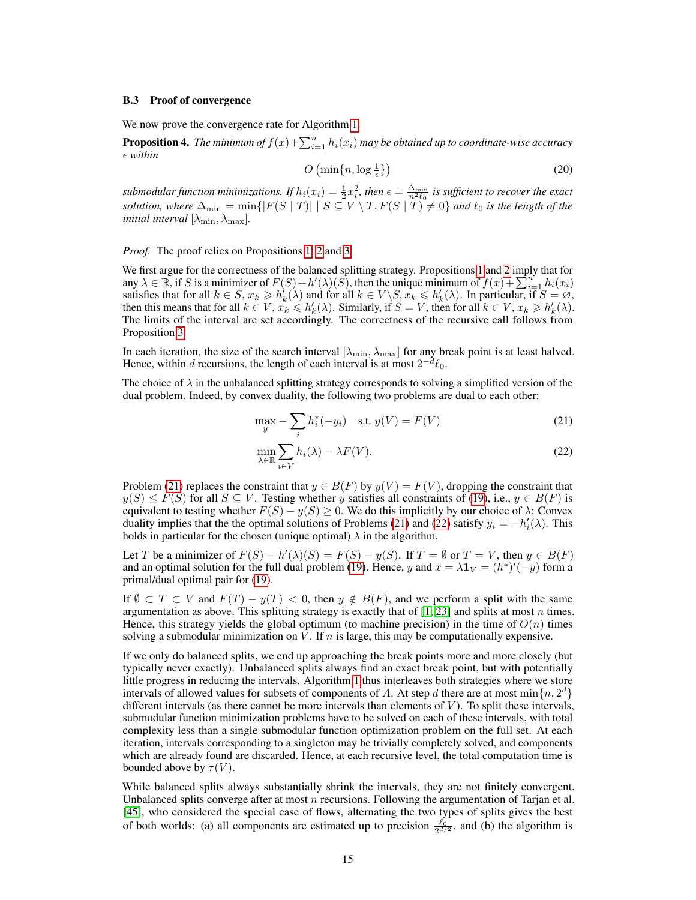#### B.3 Proof of convergence

We now prove the convergence rate for Algorithm [1.](#page-12-0)

<span id="page-14-0"></span>**Proposition 4.** The minimum of  $f(x) + \sum_{i=1}^{n} h_i(x_i)$  may be obtained up to coordinate-wise accuracy *within*

$$
O\left(\min\{n, \log\frac{1}{\epsilon}\}\right) \tag{20}
$$

submodular function minimizations. If  $h_i(x_i) = \frac{1}{2}x_i^2$ , then  $\epsilon = \frac{\Delta_{\min}}{n^2 \ell_0}$  is sufficient to recover the exact *solution, where*  $\Delta_{\min} = \min\{|F(S \mid T)| \mid S \subseteq V \setminus T, F(S \mid T) \neq 0\}$  *and*  $\ell_0$  *is the length of the initial interval*  $[\lambda_{\min}, \lambda_{\max}]$ *.* 

*Proof.* The proof relies on Propositions [1,](#page-13-0) [2](#page-13-1) and [3.](#page-13-2)

We first argue for the correctness of the balanced splitting strategy. Propositions [1](#page-13-0) and [2](#page-13-1) imply that for any  $\lambda \in \mathbb{R}$ , if S is a minimizer of  $F(S) + h'(\lambda)(S)$ , then the unique minimum of  $f(x) + \sum_{i=1}^{n} h_i(x_i)$ satisfies that for all  $k \in S$ ,  $x_k \ge h'_k(\lambda)$  and for all  $k \in V \setminus S$ ,  $x_k \le h'_k(\lambda)$ . In particular, if  $S = \emptyset$ , then this means that for all  $k \in V$ ,  $\hat{x_k} \leq h'_k(\lambda)$ . Similarly, if  $S = V$ , then for all  $k \in V$ ,  $x_k \geq h'_k(\lambda)$ . The limits of the interval are set accordingly. The correctness of the recursive call follows from Proposition [3.](#page-13-2)

In each iteration, the size of the search interval  $[\lambda_{\min}, \lambda_{\max}]$  for any break point is at least halved. Hence, within d recursions, the length of each interval is at most  $2^{-d} \ell_0$ .

The choice of  $\lambda$  in the unbalanced splitting strategy corresponds to solving a simplified version of the dual problem. Indeed, by convex duality, the following two problems are dual to each other:

$$
\max_{y} - \sum_{i} h_i^*(-y_i) \quad \text{s.t. } y(V) = F(V) \tag{21}
$$

<span id="page-14-2"></span><span id="page-14-1"></span>
$$
\min_{\lambda \in \mathbb{R}} \sum_{i \in V} h_i(\lambda) - \lambda F(V). \tag{22}
$$

Problem [\(21\)](#page-14-1) replaces the constraint that  $y \in B(F)$  by  $y(V) = F(V)$ , dropping the constraint that  $y(S) \le F(S)$  for all  $S \subseteq V$ . Testing whether y satisfies all constraints of [\(19\)](#page-12-1), i.e.,  $y \in B(F)$  is equivalent to testing whether  $F(S) - y(S) \ge 0$ . We do this implicitly by our choice of  $\lambda$ : Convex duality implies that the the optimal solutions of Problems [\(21\)](#page-14-1) and [\(22\)](#page-14-2) satisfy  $y_i = -h'_i(\lambda)$ . This holds in particular for the chosen (unique optimal)  $\lambda$  in the algorithm.

Let T be a minimizer of  $F(S) + h'(\lambda)(S) = F(S) - y(S)$ . If  $T = \emptyset$  or  $T = V$ , then  $y \in B(F)$ and an optimal solution for the full dual problem [\(19\)](#page-12-1). Hence, y and  $x = \lambda 1_V = (h^*)'(-y)$  form a primal/dual optimal pair for [\(19\)](#page-12-1).

If  $\emptyset \subset T \subset V$  and  $F(T) - y(T) < 0$ , then  $y \notin B(F)$ , and we perform a split with the same argumentation as above. This splitting strategy is exactly that of  $[1, 23]$  $[1, 23]$  $[1, 23]$  and splits at most n times. Hence, this strategy yields the global optimum (to machine precision) in the time of  $O(n)$  times solving a submodular minimization on  $V$ . If n is large, this may be computationally expensive.

If we only do balanced splits, we end up approaching the break points more and more closely (but typically never exactly). Unbalanced splits always find an exact break point, but with potentially little progress in reducing the intervals. Algorithm [1](#page-12-0) thus interleaves both strategies where we store intervals of allowed values for subsets of components of A. At step d there are at most  $\min\{n, 2^d\}$ different intervals (as there cannot be more intervals than elements of  $V$ ). To split these intervals, submodular function minimization problems have to be solved on each of these intervals, with total complexity less than a single submodular function optimization problem on the full set. At each iteration, intervals corresponding to a singleton may be trivially completely solved, and components which are already found are discarded. Hence, at each recursive level, the total computation time is bounded above by  $\tau(V)$ .

While balanced splits always substantially shrink the intervals, they are not finitely convergent. Unbalanced splits converge after at most  $n$  recursions. Following the argumentation of Tarjan et al. [\[45\]](#page-10-12), who considered the special case of flows, alternating the two types of splits gives the best of both worlds: (a) all components are estimated up to precision  $\frac{\ell_0}{2^{d/2}}$ , and (b) the algorithm is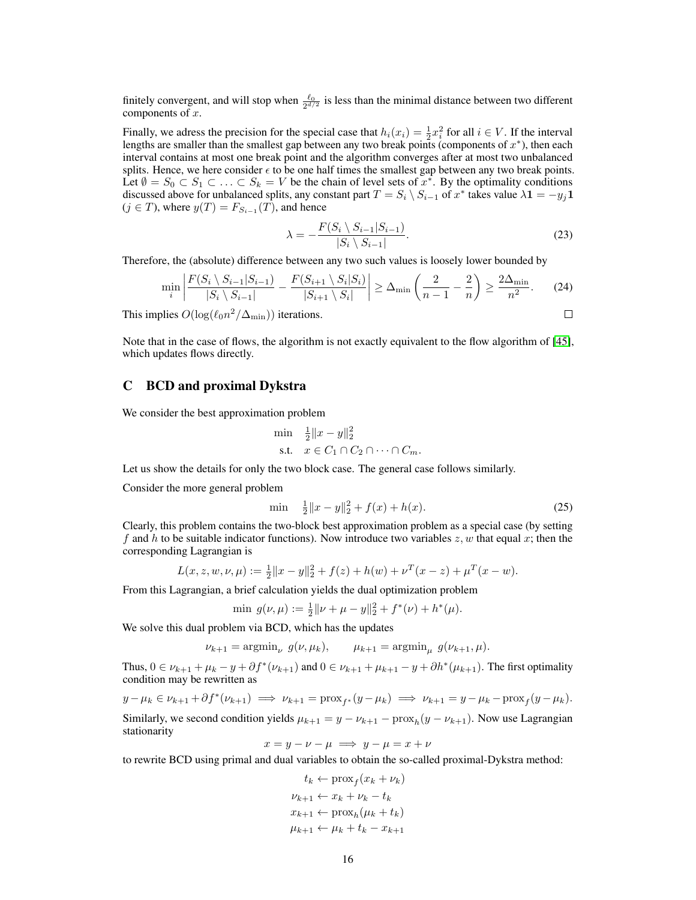finitely convergent, and will stop when  $\frac{\ell_0}{2^{d/2}}$  is less than the minimal distance between two different components of  $x$ .

Finally, we adress the precision for the special case that  $h_i(x_i) = \frac{1}{2}x_i^2$  for all  $i \in V$ . If the interval lengths are smaller than the smallest gap between any two break points (components of  $x^*$ ), then each interval contains at most one break point and the algorithm converges after at most two unbalanced splits. Hence, we here consider  $\epsilon$  to be one half times the smallest gap between any two break points. Let  $\emptyset = S_0 \subset S_1 \subset \ldots \subset S_k = V$  be the chain of level sets of  $x^*$ . By the optimality conditions discussed above for unbalanced splits, any constant part  $T = S_i \setminus S_{i-1}$  of  $x^*$  takes value  $\lambda \mathbf{1} = -y_j \mathbf{1}$  $(j \in T)$ , where  $y(T) = F_{S_{i-1}}(T)$ , and hence

$$
\lambda = -\frac{F(S_i \setminus S_{i-1}|S_{i-1})}{|S_i \setminus S_{i-1}|}.\tag{23}
$$

 $\Box$ 

Therefore, the (absolute) difference between any two such values is loosely lower bounded by

$$
\min_{i} \left| \frac{F(S_i \setminus S_{i-1} | S_{i-1})}{|S_i \setminus S_{i-1}|} - \frac{F(S_{i+1} \setminus S_i | S_i)}{|S_{i+1} \setminus S_i|} \right| \ge \Delta_{\min} \left( \frac{2}{n-1} - \frac{2}{n} \right) \ge \frac{2\Delta_{\min}}{n^2}.
$$
 (24)

This implies  $O(\log(\ell_0 n^2/\Delta_{\min}))$  iterations.

Note that in the case of flows, the algorithm is not exactly equivalent to the flow algorithm of [\[45\]](#page-10-12), which updates flows directly.

## C BCD and proximal Dykstra

We consider the best approximation problem

$$
\begin{array}{ll}\n\min & \frac{1}{2} \|x - y\|_2^2 \\
\text{s.t.} & x \in C_1 \cap C_2 \cap \dots \cap C_m.\n\end{array}
$$

Let us show the details for only the two block case. The general case follows similarly.

Consider the more general problem

<span id="page-15-0"></span>
$$
\min \quad \frac{1}{2} \|x - y\|_2^2 + f(x) + h(x). \tag{25}
$$

Clearly, this problem contains the two-block best approximation problem as a special case (by setting f and h to be suitable indicator functions). Now introduce two variables  $z, w$  that equal x; then the corresponding Lagrangian is

$$
L(x, z, w, \nu, \mu) := \frac{1}{2} ||x - y||_2^2 + f(z) + h(w) + \nu^T (x - z) + \mu^T (x - w).
$$

From this Lagrangian, a brief calculation yields the dual optimization problem

$$
\min g(\nu,\mu) := \frac{1}{2} ||\nu + \mu - y||_2^2 + f^*(\nu) + h^*(\mu).
$$

We solve this dual problem via BCD, which has the updates

$$
\nu_{k+1} = \operatorname{argmin}_{\nu} g(\nu, \mu_k), \qquad \mu_{k+1} = \operatorname{argmin}_{\mu} g(\nu_{k+1}, \mu).
$$

Thus,  $0 \in \nu_{k+1} + \mu_k - y + \partial f^*(\nu_{k+1})$  and  $0 \in \nu_{k+1} + \mu_{k+1} - y + \partial h^*(\mu_{k+1})$ . The first optimality condition may be rewritten as

$$
y - \mu_k \in \nu_{k+1} + \partial f^*(\nu_{k+1}) \implies \nu_{k+1} = \operatorname{prox}_{f^*}(y - \mu_k) \implies \nu_{k+1} = y - \mu_k - \operatorname{prox}_f(y - \mu_k).
$$

Similarly, we second condition yields  $\mu_{k+1} = y - \nu_{k+1} - \text{prox}_{h}(y - \nu_{k+1})$ . Now use Lagrangian stationarity

 $x = y - \nu - \mu \implies y - \mu = x + \nu$ 

to rewrite BCD using primal and dual variables to obtain the so-called proximal-Dykstra method:

$$
t_k \leftarrow \text{prox}_f(x_k + \nu_k)
$$
  

$$
\nu_{k+1} \leftarrow x_k + \nu_k - t_k
$$
  

$$
x_{k+1} \leftarrow \text{prox}_h(\mu_k + t_k)
$$
  

$$
\mu_{k+1} \leftarrow \mu_k + t_k - x_{k+1}
$$